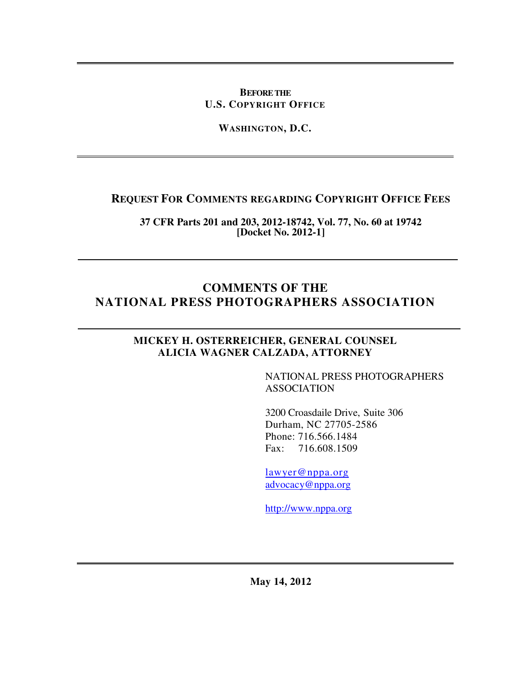### **BEFORE THE U.S. COPYRIGHT OFFICE**

**WASHINGTON, D.C.** 

## **REQUEST FOR COMMENTS REGARDING COPYRIGHT OFFICE FEES**

**37 CFR Parts 201 and 203, 2012-18742, Vol. 77, No. 60 at 19742 [Docket No. 2012-1]** 

## **COMMENTS OF THE NATIONAL PRESS PHOTOGRAPHERS ASSOCIATION**

### **MICKEY H. OSTERREICHER, GENERAL COUNSEL ALICIA WAGNER CALZADA, ATTORNEY**

NATIONAL PRESS PHOTOGRAPHERS ASSOCIATION

3200 Croasdaile Drive, Suite 306 Durham, NC 27705-2586 Phone: 716.566.1484 Fax: 716.608.1509

lawyer@nppa.org advocacy@nppa.org

http://www.nppa.org

**May 14, 2012**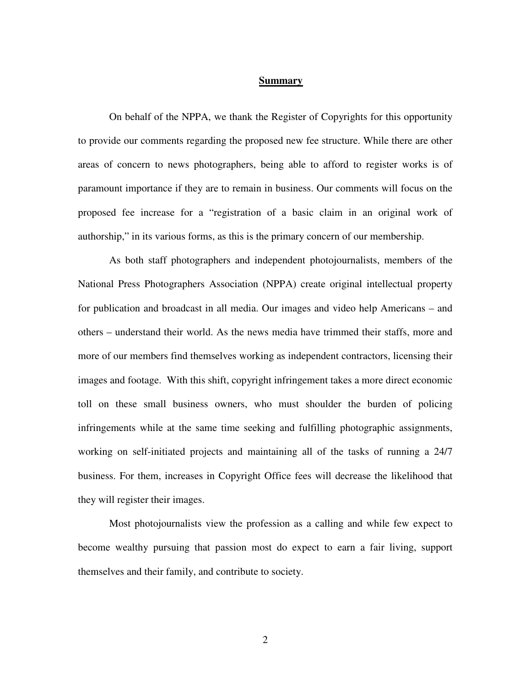#### **Summary**

On behalf of the NPPA, we thank the Register of Copyrights for this opportunity to provide our comments regarding the proposed new fee structure. While there are other areas of concern to news photographers, being able to afford to register works is of paramount importance if they are to remain in business. Our comments will focus on the proposed fee increase for a "registration of a basic claim in an original work of authorship," in its various forms, as this is the primary concern of our membership.

As both staff photographers and independent photojournalists, members of the National Press Photographers Association (NPPA) create original intellectual property for publication and broadcast in all media. Our images and video help Americans – and others – understand their world. As the news media have trimmed their staffs, more and more of our members find themselves working as independent contractors, licensing their images and footage. With this shift, copyright infringement takes a more direct economic toll on these small business owners, who must shoulder the burden of policing infringements while at the same time seeking and fulfilling photographic assignments, working on self-initiated projects and maintaining all of the tasks of running a 24/7 business. For them, increases in Copyright Office fees will decrease the likelihood that they will register their images.

Most photojournalists view the profession as a calling and while few expect to become wealthy pursuing that passion most do expect to earn a fair living, support themselves and their family, and contribute to society.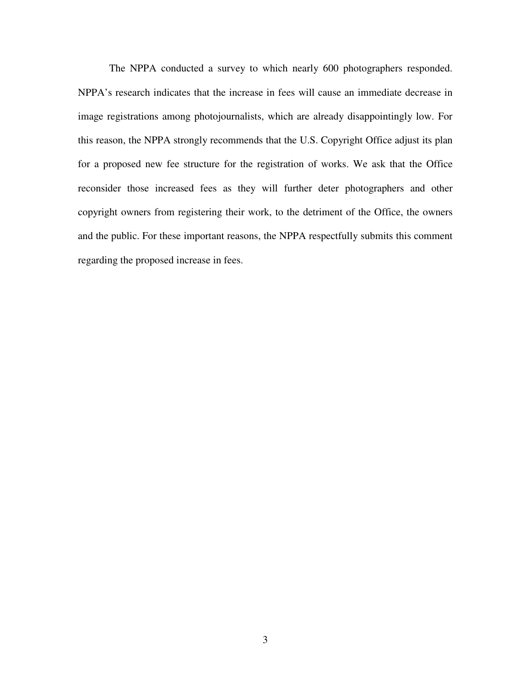The NPPA conducted a survey to which nearly 600 photographers responded. NPPA's research indicates that the increase in fees will cause an immediate decrease in image registrations among photojournalists, which are already disappointingly low. For this reason, the NPPA strongly recommends that the U.S. Copyright Office adjust its plan for a proposed new fee structure for the registration of works. We ask that the Office reconsider those increased fees as they will further deter photographers and other copyright owners from registering their work, to the detriment of the Office, the owners and the public. For these important reasons, the NPPA respectfully submits this comment regarding the proposed increase in fees.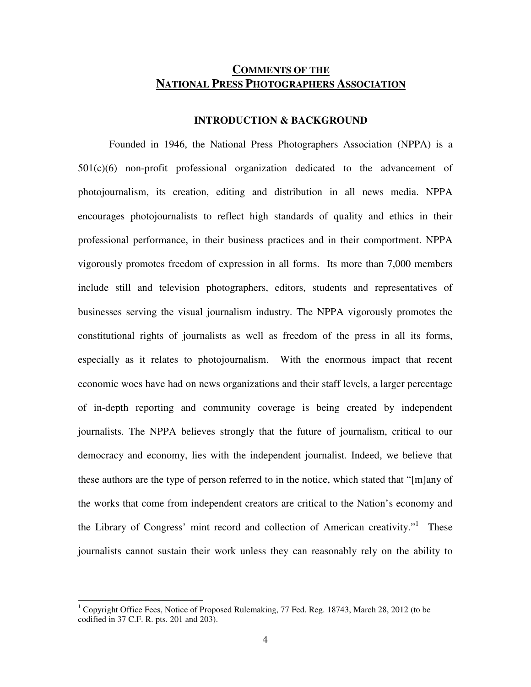### **COMMENTS OF THE NATIONAL PRESS PHOTOGRAPHERS ASSOCIATION**

#### **INTRODUCTION & BACKGROUND**

Founded in 1946, the National Press Photographers Association (NPPA) is a  $501(c)(6)$  non-profit professional organization dedicated to the advancement of photojournalism, its creation, editing and distribution in all news media. NPPA encourages photojournalists to reflect high standards of quality and ethics in their professional performance, in their business practices and in their comportment. NPPA vigorously promotes freedom of expression in all forms. Its more than 7,000 members include still and television photographers, editors, students and representatives of businesses serving the visual journalism industry. The NPPA vigorously promotes the constitutional rights of journalists as well as freedom of the press in all its forms, especially as it relates to photojournalism. With the enormous impact that recent economic woes have had on news organizations and their staff levels, a larger percentage of in-depth reporting and community coverage is being created by independent journalists. The NPPA believes strongly that the future of journalism, critical to our democracy and economy, lies with the independent journalist. Indeed, we believe that these authors are the type of person referred to in the notice, which stated that "[m]any of the works that come from independent creators are critical to the Nation's economy and the Library of Congress' mint record and collection of American creativity."<sup>1</sup> These journalists cannot sustain their work unless they can reasonably rely on the ability to

<sup>&</sup>lt;sup>1</sup> Copyright Office Fees, Notice of Proposed Rulemaking, 77 Fed. Reg. 18743, March 28, 2012 (to be codified in 37 C.F. R. pts. 201 and 203).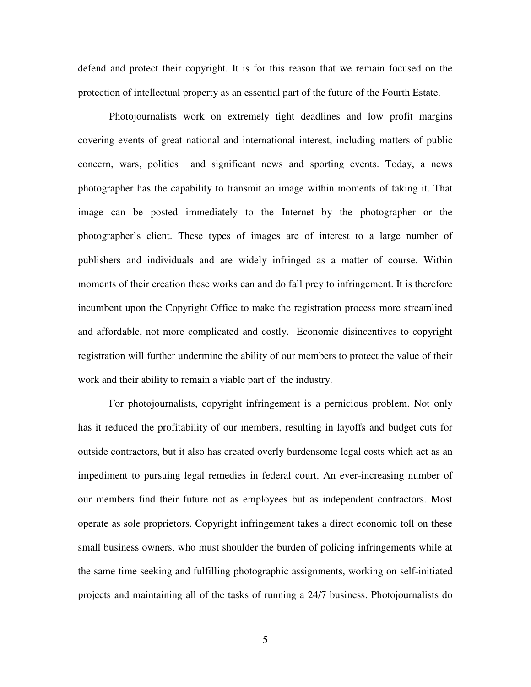defend and protect their copyright. It is for this reason that we remain focused on the protection of intellectual property as an essential part of the future of the Fourth Estate.

Photojournalists work on extremely tight deadlines and low profit margins covering events of great national and international interest, including matters of public concern, wars, politics and significant news and sporting events. Today, a news photographer has the capability to transmit an image within moments of taking it. That image can be posted immediately to the Internet by the photographer or the photographer's client. These types of images are of interest to a large number of publishers and individuals and are widely infringed as a matter of course. Within moments of their creation these works can and do fall prey to infringement. It is therefore incumbent upon the Copyright Office to make the registration process more streamlined and affordable, not more complicated and costly. Economic disincentives to copyright registration will further undermine the ability of our members to protect the value of their work and their ability to remain a viable part of the industry.

For photojournalists, copyright infringement is a pernicious problem. Not only has it reduced the profitability of our members, resulting in layoffs and budget cuts for outside contractors, but it also has created overly burdensome legal costs which act as an impediment to pursuing legal remedies in federal court. An ever-increasing number of our members find their future not as employees but as independent contractors. Most operate as sole proprietors. Copyright infringement takes a direct economic toll on these small business owners, who must shoulder the burden of policing infringements while at the same time seeking and fulfilling photographic assignments, working on self-initiated projects and maintaining all of the tasks of running a 24/7 business. Photojournalists do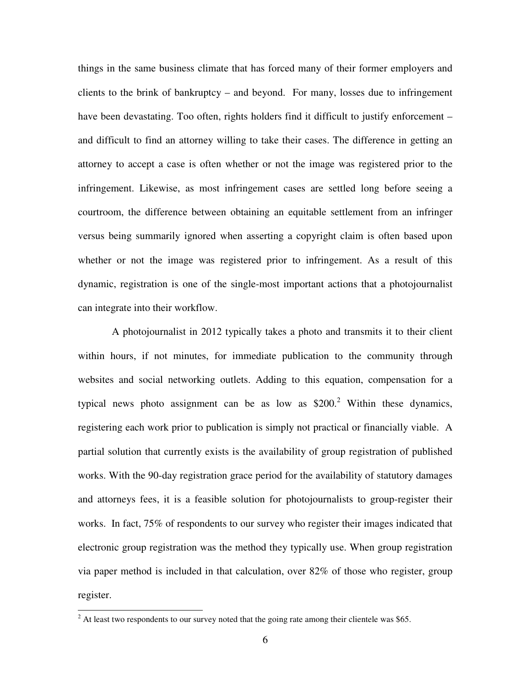things in the same business climate that has forced many of their former employers and clients to the brink of bankruptcy – and beyond. For many, losses due to infringement have been devastating. Too often, rights holders find it difficult to justify enforcement – and difficult to find an attorney willing to take their cases. The difference in getting an attorney to accept a case is often whether or not the image was registered prior to the infringement. Likewise, as most infringement cases are settled long before seeing a courtroom, the difference between obtaining an equitable settlement from an infringer versus being summarily ignored when asserting a copyright claim is often based upon whether or not the image was registered prior to infringement. As a result of this dynamic, registration is one of the single-most important actions that a photojournalist can integrate into their workflow.

 A photojournalist in 2012 typically takes a photo and transmits it to their client within hours, if not minutes, for immediate publication to the community through websites and social networking outlets. Adding to this equation, compensation for a typical news photo assignment can be as low as  $$200.<sup>2</sup>$  Within these dynamics, registering each work prior to publication is simply not practical or financially viable. A partial solution that currently exists is the availability of group registration of published works. With the 90-day registration grace period for the availability of statutory damages and attorneys fees, it is a feasible solution for photojournalists to group-register their works. In fact, 75% of respondents to our survey who register their images indicated that electronic group registration was the method they typically use. When group registration via paper method is included in that calculation, over 82% of those who register, group register.

<sup>&</sup>lt;sup>2</sup> At least two respondents to our survey noted that the going rate among their clientele was \$65.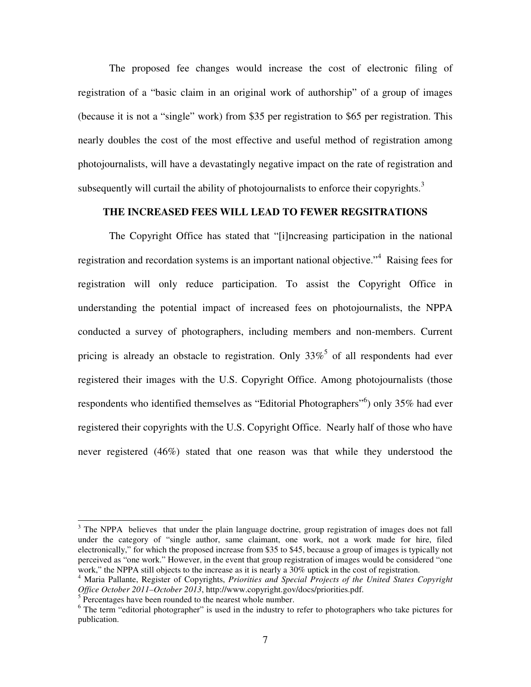The proposed fee changes would increase the cost of electronic filing of registration of a "basic claim in an original work of authorship" of a group of images (because it is not a "single" work) from \$35 per registration to \$65 per registration. This nearly doubles the cost of the most effective and useful method of registration among photojournalists, will have a devastatingly negative impact on the rate of registration and subsequently will curtail the ability of photojournalists to enforce their copyrights.<sup>3</sup>

#### **THE INCREASED FEES WILL LEAD TO FEWER REGSITRATIONS**

The Copyright Office has stated that "[i]ncreasing participation in the national registration and recordation systems is an important national objective."<sup>4</sup> Raising fees for registration will only reduce participation. To assist the Copyright Office in understanding the potential impact of increased fees on photojournalists, the NPPA conducted a survey of photographers, including members and non-members. Current pricing is already an obstacle to registration. Only  $33\%$ <sup>5</sup> of all respondents had ever registered their images with the U.S. Copyright Office. Among photojournalists (those respondents who identified themselves as "Editorial Photographers"<sup>6</sup>) only 35% had ever registered their copyrights with the U.S. Copyright Office. Nearly half of those who have never registered (46%) stated that one reason was that while they understood the

l

<sup>&</sup>lt;sup>3</sup> The NPPA believes that under the plain language doctrine, group registration of images does not fall under the category of "single author, same claimant, one work, not a work made for hire, filed electronically," for which the proposed increase from \$35 to \$45, because a group of images is typically not perceived as "one work." However, in the event that group registration of images would be considered "one work," the NPPA still objects to the increase as it is nearly a 30% uptick in the cost of registration.

<sup>4</sup> Maria Pallante, Register of Copyrights, *Priorities and Special Projects of the United States Copyright Office October 2011–October 2013*, http://www.copyright.gov/docs/priorities.pdf.

<sup>&</sup>lt;sup>5</sup> Percentages have been rounded to the nearest whole number.

<sup>&</sup>lt;sup>6</sup> The term "editorial photographer" is used in the industry to refer to photographers who take pictures for publication.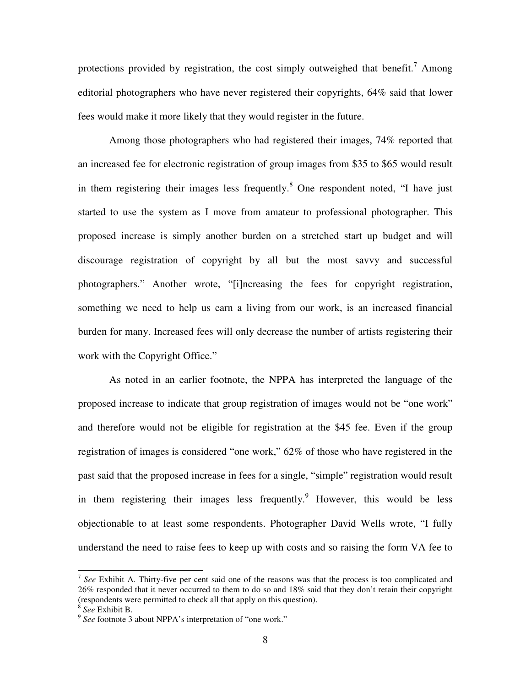protections provided by registration, the cost simply outweighed that benefit.<sup>7</sup> Among editorial photographers who have never registered their copyrights, 64% said that lower fees would make it more likely that they would register in the future.

Among those photographers who had registered their images, 74% reported that an increased fee for electronic registration of group images from \$35 to \$65 would result in them registering their images less frequently.<sup>8</sup> One respondent noted, "I have just started to use the system as I move from amateur to professional photographer. This proposed increase is simply another burden on a stretched start up budget and will discourage registration of copyright by all but the most savvy and successful photographers." Another wrote, "[i]ncreasing the fees for copyright registration, something we need to help us earn a living from our work, is an increased financial burden for many. Increased fees will only decrease the number of artists registering their work with the Copyright Office."

As noted in an earlier footnote, the NPPA has interpreted the language of the proposed increase to indicate that group registration of images would not be "one work" and therefore would not be eligible for registration at the \$45 fee. Even if the group registration of images is considered "one work," 62% of those who have registered in the past said that the proposed increase in fees for a single, "simple" registration would result in them registering their images less frequently. However, this would be less objectionable to at least some respondents. Photographer David Wells wrote, "I fully understand the need to raise fees to keep up with costs and so raising the form VA fee to

<sup>&</sup>lt;sup>7</sup> See Exhibit A. Thirty-five per cent said one of the reasons was that the process is too complicated and 26% responded that it never occurred to them to do so and 18% said that they don't retain their copyright (respondents were permitted to check all that apply on this question).

<sup>8</sup> *See* Exhibit B.

<sup>&</sup>lt;sup>9</sup> See footnote 3 about NPPA's interpretation of "one work."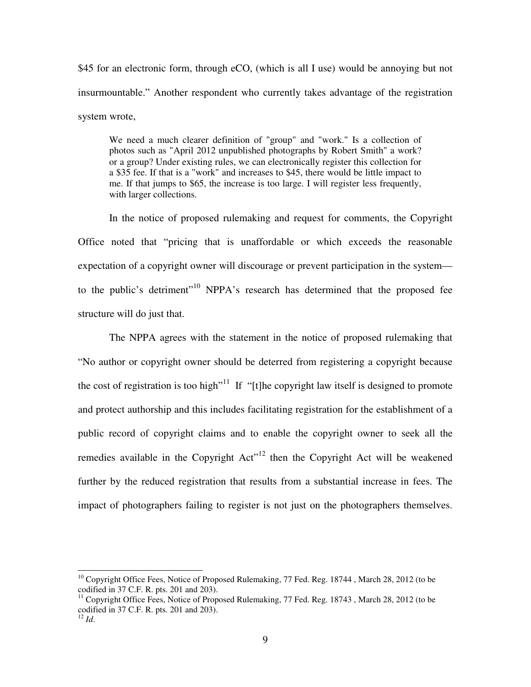\$45 for an electronic form, through eCO, (which is all I use) would be annoying but not insurmountable." Another respondent who currently takes advantage of the registration system wrote,

We need a much clearer definition of "group" and "work." Is a collection of photos such as "April 2012 unpublished photographs by Robert Smith" a work? or a group? Under existing rules, we can electronically register this collection for a \$35 fee. If that is a "work" and increases to \$45, there would be little impact to me. If that jumps to \$65, the increase is too large. I will register less frequently, with larger collections.

In the notice of proposed rulemaking and request for comments, the Copyright Office noted that "pricing that is unaffordable or which exceeds the reasonable expectation of a copyright owner will discourage or prevent participation in the system to the public's detriment"<sup>10</sup> NPPA's research has determined that the proposed fee structure will do just that.

The NPPA agrees with the statement in the notice of proposed rulemaking that "No author or copyright owner should be deterred from registering a copyright because the cost of registration is too high<sup>"11</sup> If "[t]he copyright law itself is designed to promote and protect authorship and this includes facilitating registration for the establishment of a public record of copyright claims and to enable the copyright owner to seek all the remedies available in the Copyright  $Act<sup>12</sup>$  then the Copyright Act will be weakened further by the reduced registration that results from a substantial increase in fees. The impact of photographers failing to register is not just on the photographers themselves.

-

<sup>&</sup>lt;sup>10</sup> Copyright Office Fees, Notice of Proposed Rulemaking, 77 Fed. Reg. 18744, March 28, 2012 (to be codified in 37 C.F. R. pts. 201 and 203).

<sup>&</sup>lt;sup>11</sup> Copyright Office Fees, Notice of Proposed Rulemaking, 77 Fed. Reg. 18743, March 28, 2012 (to be codified in 37 C.F. R. pts. 201 and 203).

 $12$  *Id.*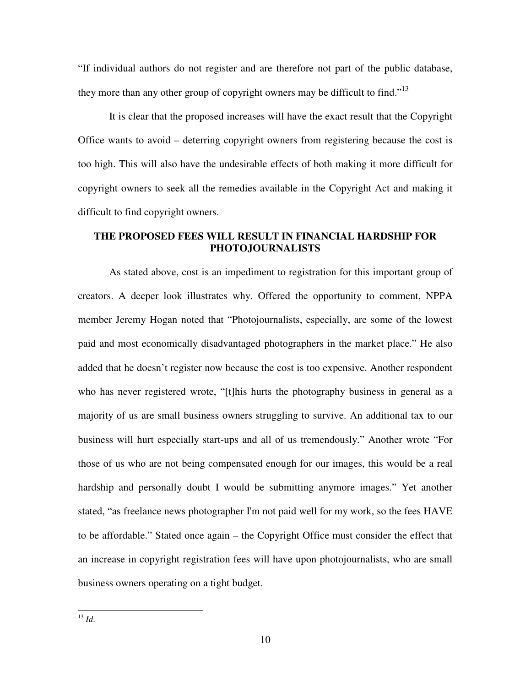"If individual authors do not register and are therefore not part of the public database, they more than any other group of copyright owners may be difficult to find.<sup> $13$ </sup>

It is clear that the proposed increases will have the exact result that the Copyright Office wants to avoid – deterring copyright owners from registering because the cost is too high. This will also have the undesirable effects of both making it more difficult for copyright owners to seek all the remedies available in the Copyright Act and making it difficult to find copyright owners.

### **THE PROPOSED FEES WILL RESULT IN FINANCIAL HARDSHIP FOR PHOTOJOURNALISTS**

As stated above, cost is an impediment to registration for this important group of creators. A deeper look illustrates why. Offered the opportunity to comment, NPPA member Jeremy Hogan noted that "Photojournalists, especially, are some of the lowest paid and most economically disadvantaged photographers in the market place." He also added that he doesn't register now because the cost is too expensive. Another respondent who has never registered wrote, "[t]his hurts the photography business in general as a majority of us are small business owners struggling to survive. An additional tax to our business will hurt especially start-ups and all of us tremendously." Another wrote "For those of us who are not being compensated enough for our images, this would be a real hardship and personally doubt I would be submitting anymore images." Yet another stated, "as freelance news photographer I'm not paid well for my work, so the fees HAVE to be affordable." Stated once again – the Copyright Office must consider the effect that an increase in copyright registration fees will have upon photojournalists, who are small business owners operating on a tight budget.

j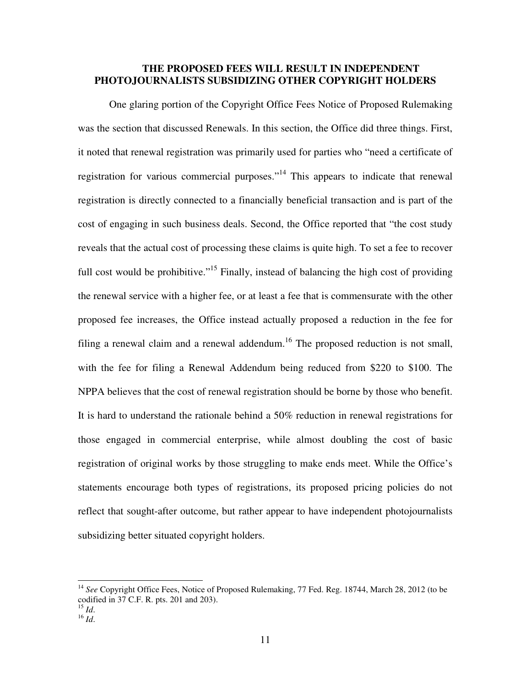### **THE PROPOSED FEES WILL RESULT IN INDEPENDENT PHOTOJOURNALISTS SUBSIDIZING OTHER COPYRIGHT HOLDERS**

One glaring portion of the Copyright Office Fees Notice of Proposed Rulemaking was the section that discussed Renewals. In this section, the Office did three things. First, it noted that renewal registration was primarily used for parties who "need a certificate of registration for various commercial purposes."<sup>14</sup> This appears to indicate that renewal registration is directly connected to a financially beneficial transaction and is part of the cost of engaging in such business deals. Second, the Office reported that "the cost study reveals that the actual cost of processing these claims is quite high. To set a fee to recover full cost would be prohibitive."<sup>15</sup> Finally, instead of balancing the high cost of providing the renewal service with a higher fee, or at least a fee that is commensurate with the other proposed fee increases, the Office instead actually proposed a reduction in the fee for filing a renewal claim and a renewal addendum.<sup>16</sup> The proposed reduction is not small, with the fee for filing a Renewal Addendum being reduced from \$220 to \$100. The NPPA believes that the cost of renewal registration should be borne by those who benefit. It is hard to understand the rationale behind a 50% reduction in renewal registrations for those engaged in commercial enterprise, while almost doubling the cost of basic registration of original works by those struggling to make ends meet. While the Office's statements encourage both types of registrations, its proposed pricing policies do not reflect that sought-after outcome, but rather appear to have independent photojournalists subsidizing better situated copyright holders.

l

<sup>&</sup>lt;sup>14</sup> See Copyright Office Fees, Notice of Proposed Rulemaking, 77 Fed. Reg. 18744, March 28, 2012 (to be codified in 37 C.F. R. pts. 201 and 203).

<sup>15</sup> *Id*.

 $^{16}$   $\frac{1}{d}$ .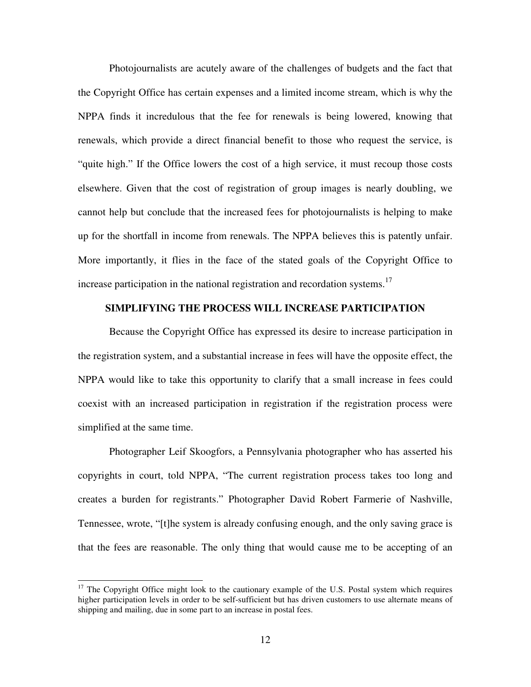Photojournalists are acutely aware of the challenges of budgets and the fact that the Copyright Office has certain expenses and a limited income stream, which is why the NPPA finds it incredulous that the fee for renewals is being lowered, knowing that renewals, which provide a direct financial benefit to those who request the service, is "quite high." If the Office lowers the cost of a high service, it must recoup those costs elsewhere. Given that the cost of registration of group images is nearly doubling, we cannot help but conclude that the increased fees for photojournalists is helping to make up for the shortfall in income from renewals. The NPPA believes this is patently unfair. More importantly, it flies in the face of the stated goals of the Copyright Office to increase participation in the national registration and recordation systems.<sup>17</sup>

#### **SIMPLIFYING THE PROCESS WILL INCREASE PARTICIPATION**

Because the Copyright Office has expressed its desire to increase participation in the registration system, and a substantial increase in fees will have the opposite effect, the NPPA would like to take this opportunity to clarify that a small increase in fees could coexist with an increased participation in registration if the registration process were simplified at the same time.

Photographer Leif Skoogfors, a Pennsylvania photographer who has asserted his copyrights in court, told NPPA, "The current registration process takes too long and creates a burden for registrants." Photographer David Robert Farmerie of Nashville, Tennessee, wrote, "[t]he system is already confusing enough, and the only saving grace is that the fees are reasonable. The only thing that would cause me to be accepting of an

l

 $17$  The Copyright Office might look to the cautionary example of the U.S. Postal system which requires higher participation levels in order to be self-sufficient but has driven customers to use alternate means of shipping and mailing, due in some part to an increase in postal fees.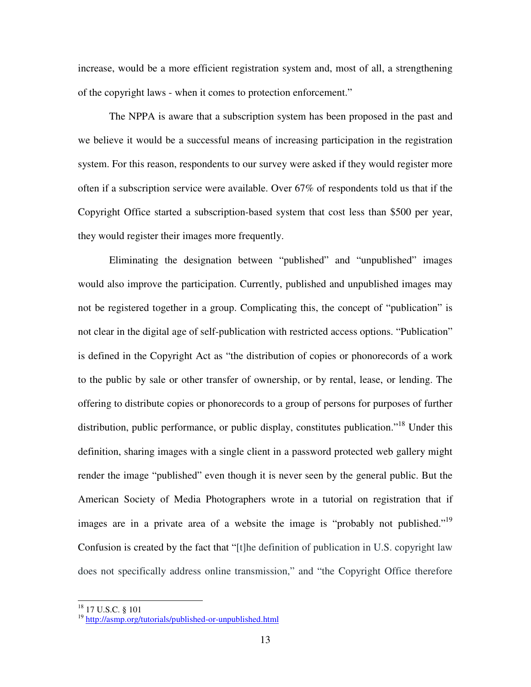increase, would be a more efficient registration system and, most of all, a strengthening of the copyright laws - when it comes to protection enforcement."

The NPPA is aware that a subscription system has been proposed in the past and we believe it would be a successful means of increasing participation in the registration system. For this reason, respondents to our survey were asked if they would register more often if a subscription service were available. Over 67% of respondents told us that if the Copyright Office started a subscription-based system that cost less than \$500 per year, they would register their images more frequently.

Eliminating the designation between "published" and "unpublished" images would also improve the participation. Currently, published and unpublished images may not be registered together in a group. Complicating this, the concept of "publication" is not clear in the digital age of self-publication with restricted access options. "Publication" is defined in the Copyright Act as "the distribution of copies or phonorecords of a work to the public by sale or other transfer of ownership, or by rental, lease, or lending. The offering to distribute copies or phonorecords to a group of persons for purposes of further distribution, public performance, or public display, constitutes publication."<sup>18</sup> Under this definition, sharing images with a single client in a password protected web gallery might render the image "published" even though it is never seen by the general public. But the American Society of Media Photographers wrote in a tutorial on registration that if images are in a private area of a website the image is "probably not published."<sup>19</sup> Confusion is created by the fact that "[t]he definition of publication in U.S. copyright law does not specifically address online transmission," and "the Copyright Office therefore

-

<sup>&</sup>lt;sup>18</sup> 17 U.S.C. § 101

<sup>19</sup> http://asmp.org/tutorials/published-or-unpublished.html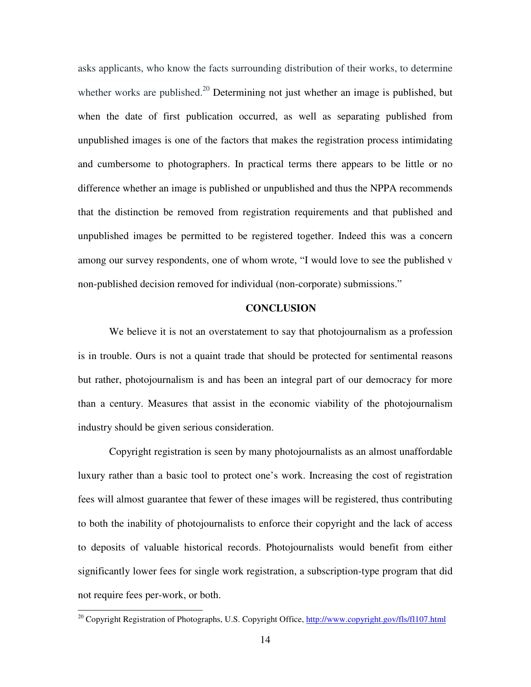asks applicants, who know the facts surrounding distribution of their works, to determine whether works are published.<sup>20</sup> Determining not just whether an image is published, but when the date of first publication occurred, as well as separating published from unpublished images is one of the factors that makes the registration process intimidating and cumbersome to photographers. In practical terms there appears to be little or no difference whether an image is published or unpublished and thus the NPPA recommends that the distinction be removed from registration requirements and that published and unpublished images be permitted to be registered together. Indeed this was a concern among our survey respondents, one of whom wrote, "I would love to see the published v non-published decision removed for individual (non-corporate) submissions."

#### **CONCLUSION**

We believe it is not an overstatement to say that photojournalism as a profession is in trouble. Ours is not a quaint trade that should be protected for sentimental reasons but rather, photojournalism is and has been an integral part of our democracy for more than a century. Measures that assist in the economic viability of the photojournalism industry should be given serious consideration.

Copyright registration is seen by many photojournalists as an almost unaffordable luxury rather than a basic tool to protect one's work. Increasing the cost of registration fees will almost guarantee that fewer of these images will be registered, thus contributing to both the inability of photojournalists to enforce their copyright and the lack of access to deposits of valuable historical records. Photojournalists would benefit from either significantly lower fees for single work registration, a subscription-type program that did not require fees per-work, or both.

j

<sup>&</sup>lt;sup>20</sup> Copyright Registration of Photographs, U.S. Copyright Office, http://www.copyright.gov/fls/fl107.html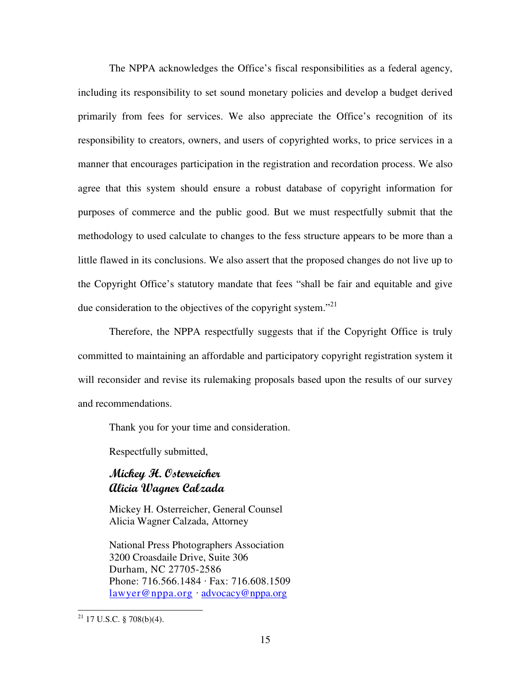The NPPA acknowledges the Office's fiscal responsibilities as a federal agency, including its responsibility to set sound monetary policies and develop a budget derived primarily from fees for services. We also appreciate the Office's recognition of its responsibility to creators, owners, and users of copyrighted works, to price services in a manner that encourages participation in the registration and recordation process. We also agree that this system should ensure a robust database of copyright information for purposes of commerce and the public good. But we must respectfully submit that the methodology to used calculate to changes to the fess structure appears to be more than a little flawed in its conclusions. We also assert that the proposed changes do not live up to the Copyright Office's statutory mandate that fees "shall be fair and equitable and give due consideration to the objectives of the copyright system."<sup>21</sup>

Therefore, the NPPA respectfully suggests that if the Copyright Office is truly committed to maintaining an affordable and participatory copyright registration system it will reconsider and revise its rulemaking proposals based upon the results of our survey and recommendations.

Thank you for your time and consideration.

Respectfully submitted,

## Mickey H. Osterreicher Alicia Wagner Calzada

Mickey H. Osterreicher, General Counsel Alicia Wagner Calzada, Attorney

National Press Photographers Association 3200 Croasdaile Drive, Suite 306 Durham, NC 27705-2586 Phone: 716.566.1484 · Fax: 716.608.1509 lawyer@nppa.org · advocacy@nppa.org

j

 $^{21}$  17 U.S.C. § 708(b)(4).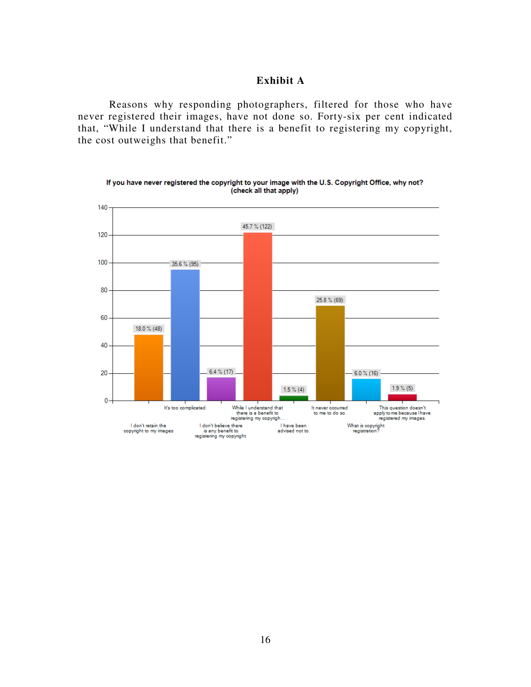### **Exhibit A**

Reasons why responding photographers, filtered for those who have never registered their images, have not done so. Forty-six per cent indicated that, "While I understand that there is a benefit to registering my copyright, the cost outweighs that benefit."



If you have never registered the copyright to your image with the U.S. Copyright Office, why not? (check all that apply)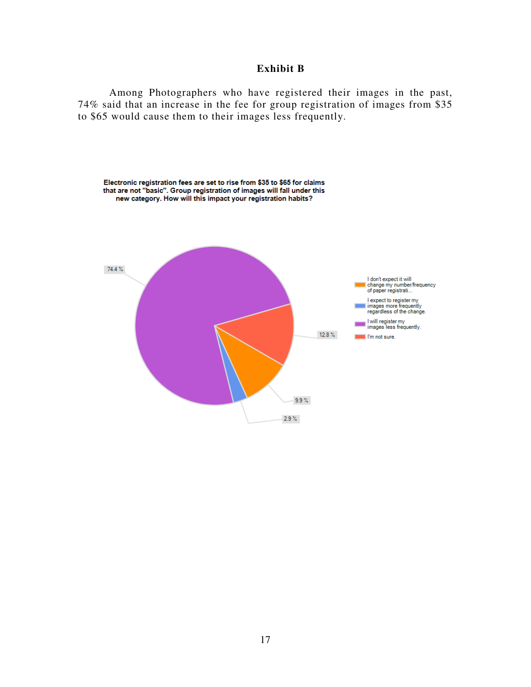### **Exhibit B**

Among Photographers who have registered their images in the past, 74% said that an increase in the fee for group registration of images from \$35 to \$65 would cause them to their images less frequently.

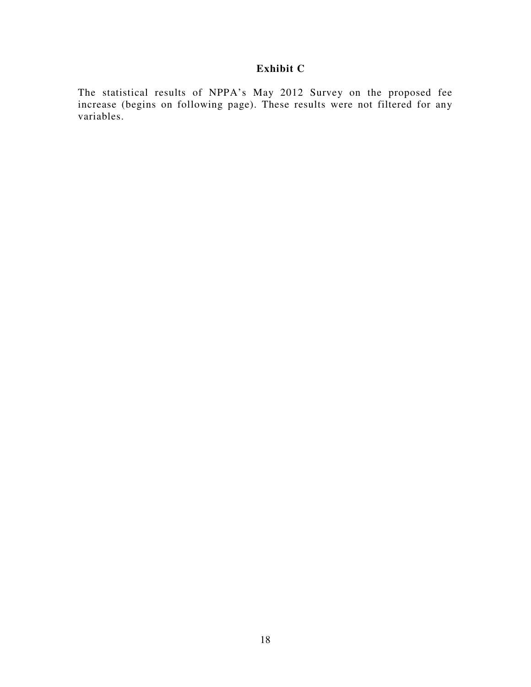## **Exhibit C**

The statistical results of NPPA's May 2012 Survey on the proposed fee increase (begins on following page). These results were not filtered for any variables.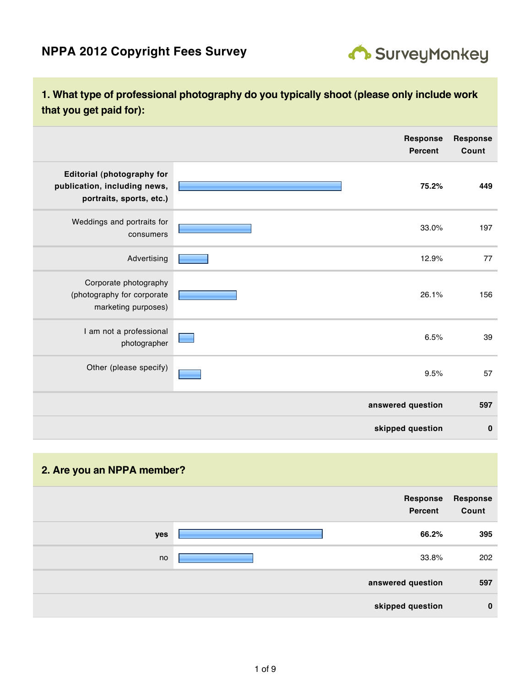

## **1. What type of professional photography do you typically shoot (please only include work that you get paid for):**

|                                                                                        | <b>Response</b><br><b>Percent</b> | <b>Response</b><br>Count |
|----------------------------------------------------------------------------------------|-----------------------------------|--------------------------|
| Editorial (photography for<br>publication, including news,<br>portraits, sports, etc.) | 75.2%                             | 449                      |
| Weddings and portraits for<br>consumers                                                | 33.0%                             | 197                      |
| Advertising                                                                            | 12.9%                             | 77                       |
| Corporate photography<br>(photography for corporate<br>marketing purposes)             | 26.1%                             | 156                      |
| I am not a professional<br>photographer                                                | 6.5%                              | 39                       |
| Other (please specify)                                                                 | 9.5%                              | 57                       |
|                                                                                        | answered question                 | 597                      |
|                                                                                        | skipped question                  | $\bf{0}$                 |

## **2. Are you an NPPA member?**

|     | Response<br>Percent | <b>Response</b><br>Count |
|-----|---------------------|--------------------------|
| yes | 66.2%               | 395                      |
| no  | 33.8%               | 202                      |
|     | answered question   | 597                      |
|     | skipped question    | $\bf{0}$                 |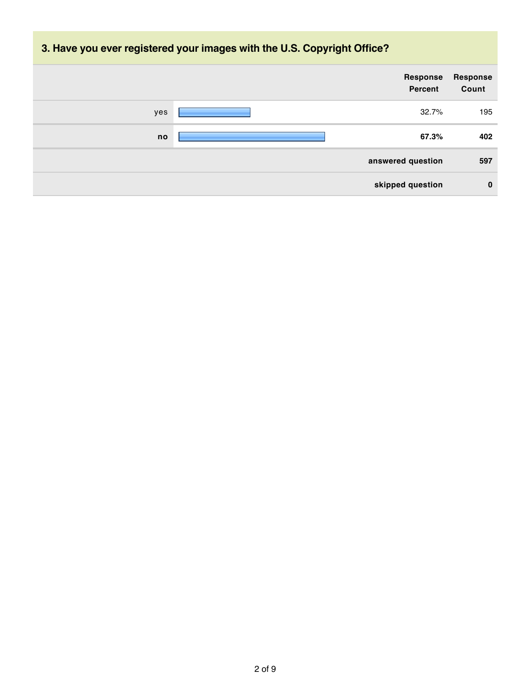# **3. Have you ever registered your images with the U.S. Copyright Office?**

|     | Response<br>Percent | Response<br>Count |
|-----|---------------------|-------------------|
| yes | 32.7%               | 195               |
| no  | 67.3%               | 402               |
|     | answered question   | 597               |
|     | skipped question    | $\bf{0}$          |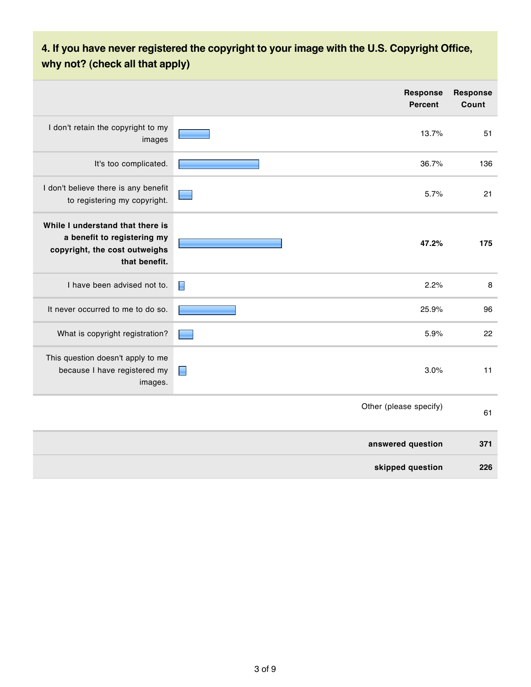# **4. If you have never registered the copyright to your image with the U.S. Copyright Office, why not? (check all that apply)**

|                                                                                                                   | <b>Response</b><br><b>Percent</b> | <b>Response</b><br>Count |
|-------------------------------------------------------------------------------------------------------------------|-----------------------------------|--------------------------|
| I don't retain the copyright to my<br>images                                                                      | 13.7%                             | 51                       |
| It's too complicated.                                                                                             | 36.7%                             | 136                      |
| I don't believe there is any benefit<br>to registering my copyright.                                              | 5.7%                              | 21                       |
| While I understand that there is<br>a benefit to registering my<br>copyright, the cost outweighs<br>that benefit. | 47.2%                             | 175                      |
| I have been advised not to.                                                                                       | E<br>2.2%                         | 8                        |
| It never occurred to me to do so.                                                                                 | 25.9%                             | 96                       |
| What is copyright registration?                                                                                   | 5.9%                              | 22                       |
| This question doesn't apply to me<br>because I have registered my<br>images.                                      | 3.0%<br>$\blacksquare$            | 11                       |
|                                                                                                                   | Other (please specify)            | 61                       |
|                                                                                                                   | answered question                 | 371                      |
|                                                                                                                   | skipped question                  | 226                      |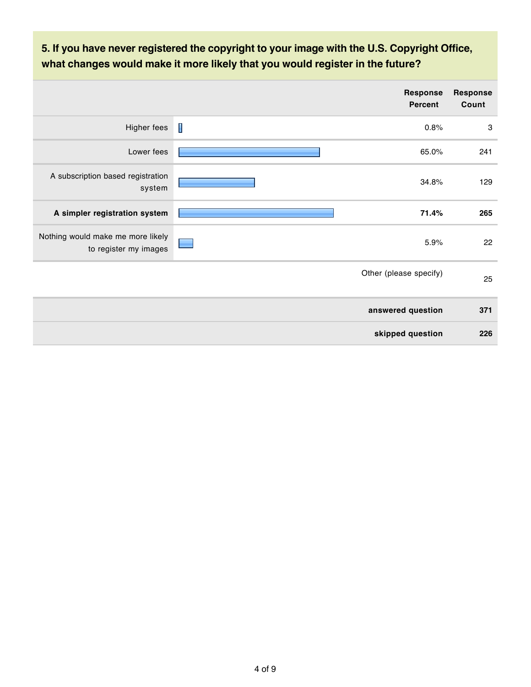# **5. If you have never registered the copyright to your image with the U.S. Copyright Office, what changes would make it more likely that you would register in the future?**

|                                                            |   | <b>Response</b><br><b>Percent</b> | <b>Response</b><br>Count  |
|------------------------------------------------------------|---|-----------------------------------|---------------------------|
| Higher fees                                                | I | 0.8%                              | $\ensuremath{\mathsf{3}}$ |
| Lower fees                                                 |   | 65.0%                             | 241                       |
| A subscription based registration<br>system                |   | 34.8%                             | 129                       |
| A simpler registration system                              |   | 71.4%                             | 265                       |
| Nothing would make me more likely<br>to register my images |   | 5.9%                              | 22                        |
|                                                            |   | Other (please specify)            | 25                        |
|                                                            |   | answered question                 | 371                       |
|                                                            |   | skipped question                  | 226                       |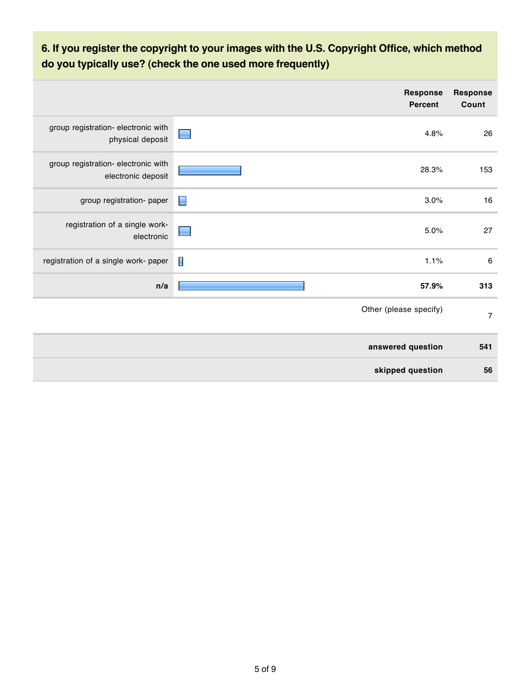# **6. If you register the copyright to your images with the U.S. Copyright Office, which method do you typically use? (check the one used more frequently)**

|                                                           |                | <b>Response</b><br>Percent | <b>Response</b><br>Count |
|-----------------------------------------------------------|----------------|----------------------------|--------------------------|
| group registration- electronic with<br>physical deposit   |                | 4.8%                       | 26                       |
| group registration- electronic with<br>electronic deposit |                | 28.3%                      | 153                      |
| group registration- paper                                 | $\blacksquare$ | 3.0%                       | $16$                     |
| registration of a single work-<br>electronic              |                | 5.0%                       | 27                       |
| registration of a single work- paper                      | $\blacksquare$ | 1.1%                       | $\,6\,$                  |
| n/a                                                       |                | 57.9%                      | 313                      |
|                                                           |                | Other (please specify)     | $\overline{7}$           |
|                                                           |                | answered question          | 541                      |
|                                                           |                | skipped question           | 56                       |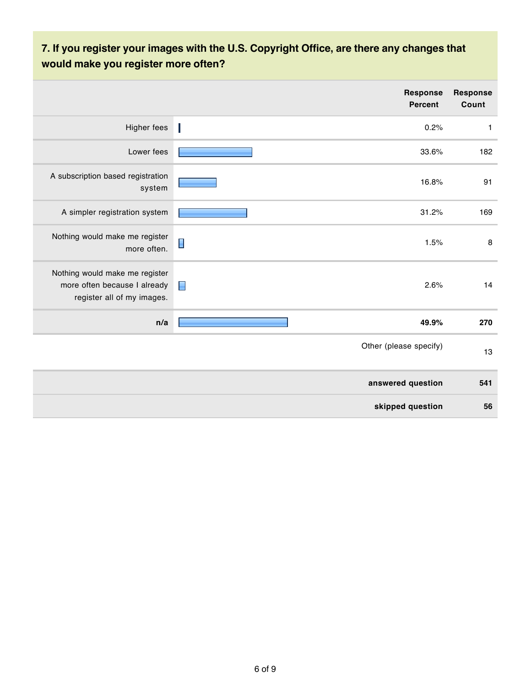# **7. If you register your images with the U.S. Copyright Office, are there any changes that would make you register more often?**

|                                                                                              | <b>Response</b><br>Percent | <b>Response</b><br>Count |
|----------------------------------------------------------------------------------------------|----------------------------|--------------------------|
| Higher fees                                                                                  | 0.2%                       | $\mathbf{1}$             |
| Lower fees                                                                                   | 33.6%                      | 182                      |
| A subscription based registration<br>system                                                  | 16.8%                      | 91                       |
| A simpler registration system                                                                | 31.2%                      | 169                      |
| Nothing would make me register<br>more often.                                                | $\Box$<br>1.5%             | $\bf 8$                  |
| Nothing would make me register<br>more often because I already<br>register all of my images. | 2.6%<br>$\blacksquare$     | 14                       |
| n/a                                                                                          | 49.9%                      | 270                      |
|                                                                                              | Other (please specify)     | 13                       |
|                                                                                              | answered question          | 541                      |
|                                                                                              | skipped question           | 56                       |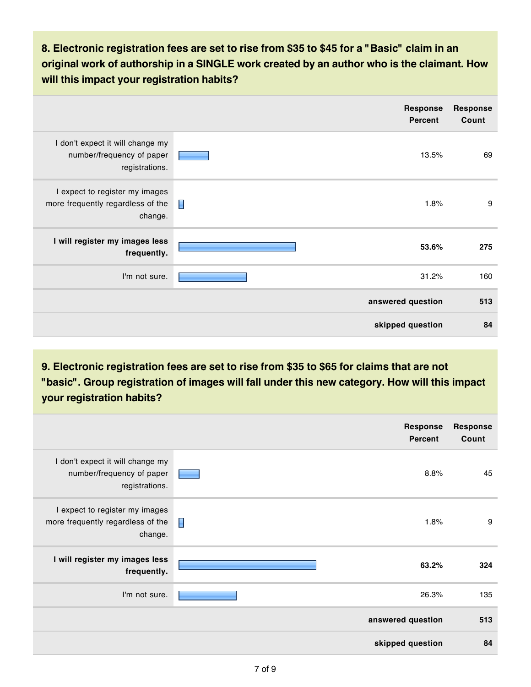**8. Electronic registration fees are set to rise from \$35 to \$45 for a "Basic" claim in an original work of authorship in a SINGLE work created by an author who is the claimant. How will this impact your registration habits?**

|                                                                                 | <b>Response</b><br>Percent | <b>Response</b><br>Count |
|---------------------------------------------------------------------------------|----------------------------|--------------------------|
| I don't expect it will change my<br>number/frequency of paper<br>registrations. | 13.5%                      | 69                       |
| I expect to register my images<br>more frequently regardless of the<br>change.  | П<br>1.8%                  | 9                        |
| I will register my images less<br>frequently.                                   | 53.6%                      | 275                      |
| I'm not sure.                                                                   | 31.2%                      | 160                      |
|                                                                                 | answered question          | 513                      |
|                                                                                 | skipped question           | 84                       |

**9. Electronic registration fees are set to rise from \$35 to \$65 for claims that are not "basic". Group registration of images will fall under this new category. How will this impact your registration habits?**

|                                                                                 | <b>Response</b><br>Percent | <b>Response</b><br>Count |
|---------------------------------------------------------------------------------|----------------------------|--------------------------|
| I don't expect it will change my<br>number/frequency of paper<br>registrations. | 8.8%                       | 45                       |
| I expect to register my images<br>more frequently regardless of the<br>change.  | П<br>1.8%                  | 9                        |
| I will register my images less<br>frequently.                                   | 63.2%                      | 324                      |
| I'm not sure.                                                                   | 26.3%                      | 135                      |
|                                                                                 | answered question          | 513                      |
|                                                                                 | skipped question           | 84                       |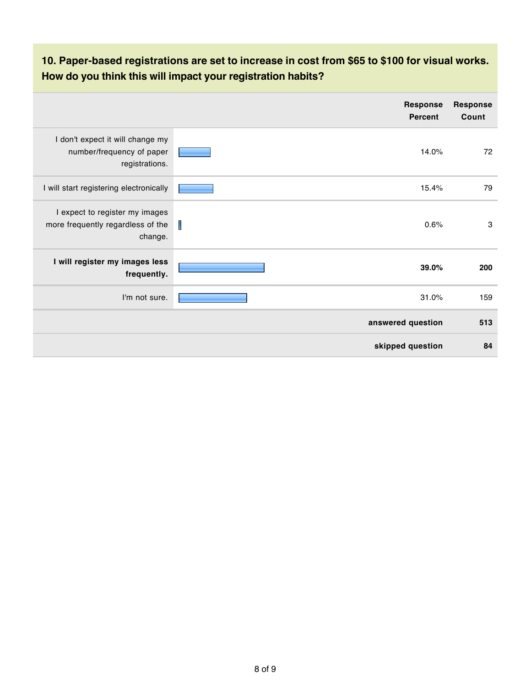# **10. Paper-based registrations are set to increase in cost from \$65 to \$100 for visual works. How do you think this will impact your registration habits?**

|                                                                                 | <b>Response</b><br><b>Percent</b> | <b>Response</b><br>Count |
|---------------------------------------------------------------------------------|-----------------------------------|--------------------------|
| I don't expect it will change my<br>number/frequency of paper<br>registrations. | 14.0%                             | 72                       |
| I will start registering electronically                                         | 15.4%                             | 79                       |
| I expect to register my images<br>more frequently regardless of the<br>change.  | Т<br>0.6%                         | 3                        |
| I will register my images less<br>frequently.                                   | 39.0%                             | 200                      |
| I'm not sure.                                                                   | 31.0%                             | 159                      |
|                                                                                 | answered question                 | 513                      |
|                                                                                 | skipped question                  | 84                       |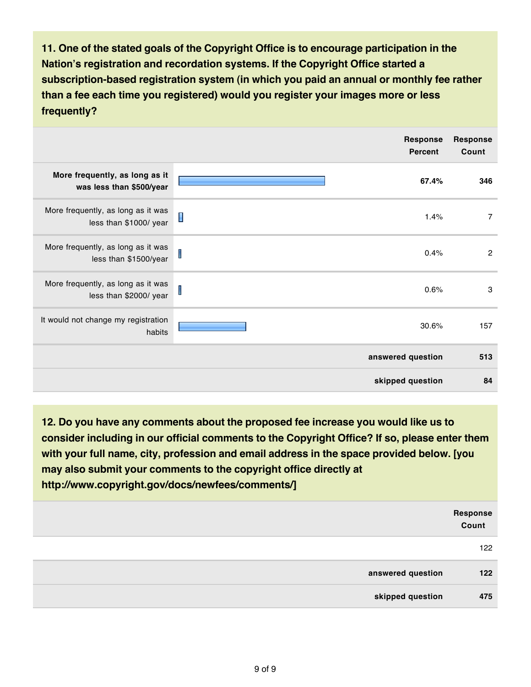**11. One of the stated goals of the Copyright Office is to encourage participation in the Nation's registration and recordation systems. If the Copyright Office started a subscription-based registration system (in which you paid an annual or monthly fee rather than a fee each time you registered) would you register your images more or less frequently?**

|                                                              | <b>Response</b><br><b>Percent</b> | <b>Response</b><br>Count |
|--------------------------------------------------------------|-----------------------------------|--------------------------|
| More frequently, as long as it<br>was less than \$500/year   | 67.4%                             | 346                      |
| More frequently, as long as it was<br>less than \$1000/ year | $\blacksquare$<br>1.4%            | 7                        |
| More frequently, as long as it was<br>less than \$1500/year  | I<br>0.4%                         | $\overline{c}$           |
| More frequently, as long as it was<br>less than \$2000/ year | I<br>0.6%                         | 3                        |
| It would not change my registration<br>habits                | 30.6%                             | 157                      |
|                                                              | answered question                 | 513                      |
|                                                              | skipped question                  | 84                       |

**12. Do you have any comments about the proposed fee increase you would like us to consider including in our official comments to the Copyright Office? If so, please enter them with your full name, city, profession and email address in the space provided below. [you may also submit your comments to the copyright office directly at http://www.copyright.gov/docs/newfees/comments/]**

|                   | <b>Response<br/>Count</b> |
|-------------------|---------------------------|
|                   | 122                       |
| answered question | 122                       |
| skipped question  | 475                       |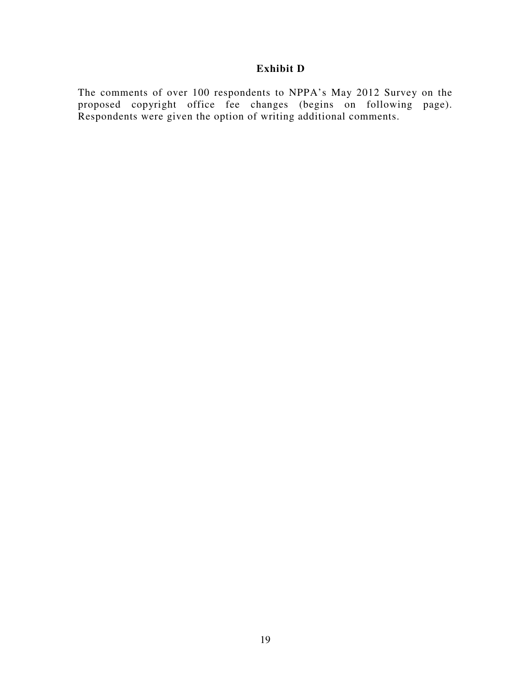## **Exhibit D**

The comments of over 100 respondents to NPPA's May 2012 Survey on the proposed copyright office fee changes (begins on following page). Respondents were given the option of writing additional comments.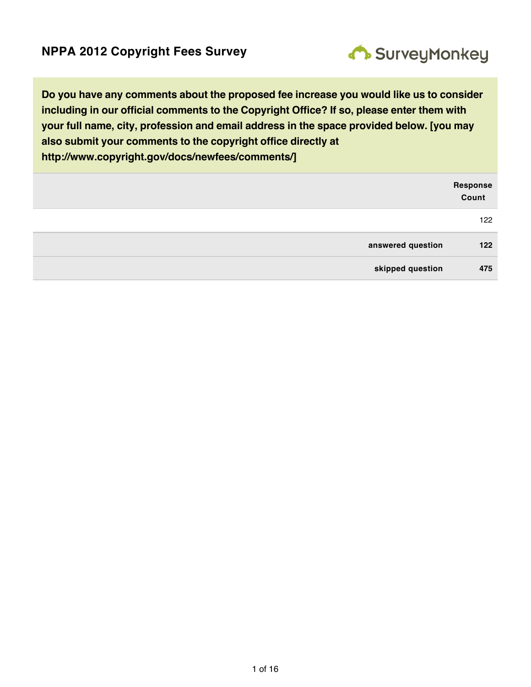

**Do you have any comments about the proposed fee increase you would like us to consider including in our official comments to the Copyright Office? If so, please enter them with your full name, city, profession and email address in the space provided below. [you may also submit your comments to the copyright office directly at http://www.copyright.gov/docs/newfees/comments/]**

|                   | <b>Response<br/>Count</b> |
|-------------------|---------------------------|
|                   | 122                       |
| answered question | 122                       |
| skipped question  | 475                       |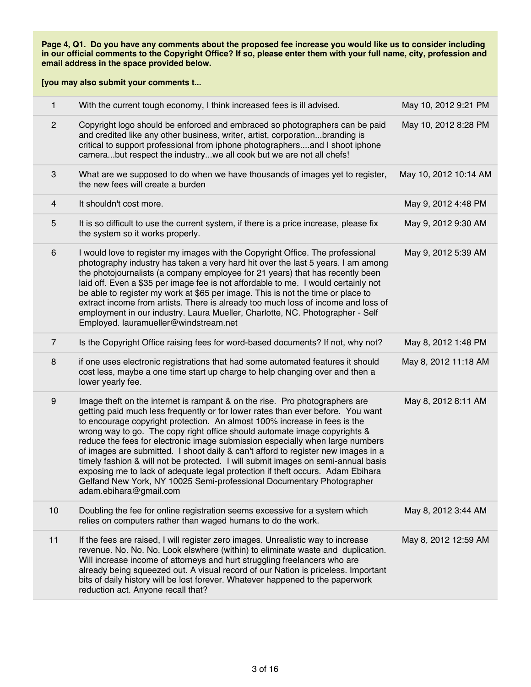| $\mathbf{1}$   | With the current tough economy, I think increased fees is ill advised.                                                                                                                                                                                                                                                                                                                                                                                                                                                                                                                                                                                                                                                                                                   | May 10, 2012 9:21 PM  |
|----------------|--------------------------------------------------------------------------------------------------------------------------------------------------------------------------------------------------------------------------------------------------------------------------------------------------------------------------------------------------------------------------------------------------------------------------------------------------------------------------------------------------------------------------------------------------------------------------------------------------------------------------------------------------------------------------------------------------------------------------------------------------------------------------|-----------------------|
| $\overline{c}$ | Copyright logo should be enforced and embraced so photographers can be paid<br>and credited like any other business, writer, artist, corporationbranding is<br>critical to support professional from iphone photographersand I shoot iphone<br>camerabut respect the industrywe all cook but we are not all chefs!                                                                                                                                                                                                                                                                                                                                                                                                                                                       | May 10, 2012 8:28 PM  |
| $\mathbf{3}$   | What are we supposed to do when we have thousands of images yet to register,<br>the new fees will create a burden                                                                                                                                                                                                                                                                                                                                                                                                                                                                                                                                                                                                                                                        | May 10, 2012 10:14 AM |
| $\overline{4}$ | It shouldn't cost more.                                                                                                                                                                                                                                                                                                                                                                                                                                                                                                                                                                                                                                                                                                                                                  | May 9, 2012 4:48 PM   |
| 5              | It is so difficult to use the current system, if there is a price increase, please fix<br>the system so it works properly.                                                                                                                                                                                                                                                                                                                                                                                                                                                                                                                                                                                                                                               | May 9, 2012 9:30 AM   |
| 6              | I would love to register my images with the Copyright Office. The professional<br>photography industry has taken a very hard hit over the last 5 years. I am among<br>the photojournalists (a company employee for 21 years) that has recently been<br>laid off. Even a \$35 per image fee is not affordable to me. I would certainly not<br>be able to register my work at \$65 per image. This is not the time or place to<br>extract income from artists. There is already too much loss of income and loss of<br>employment in our industry. Laura Mueller, Charlotte, NC. Photographer - Self<br>Employed. lauramueller@windstream.net                                                                                                                              | May 9, 2012 5:39 AM   |
| $\overline{7}$ | Is the Copyright Office raising fees for word-based documents? If not, why not?                                                                                                                                                                                                                                                                                                                                                                                                                                                                                                                                                                                                                                                                                          | May 8, 2012 1:48 PM   |
| 8              | if one uses electronic registrations that had some automated features it should<br>cost less, maybe a one time start up charge to help changing over and then a<br>lower yearly fee.                                                                                                                                                                                                                                                                                                                                                                                                                                                                                                                                                                                     | May 8, 2012 11:18 AM  |
| 9              | Image theft on the internet is rampant & on the rise. Pro photographers are<br>getting paid much less frequently or for lower rates than ever before. You want<br>to encourage copyright protection. An almost 100% increase in fees is the<br>wrong way to go. The copy right office should automate image copyrights &<br>reduce the fees for electronic image submission especially when large numbers<br>of images are submitted. I shoot daily & can't afford to register new images in a<br>timely fashion & will not be protected. I will submit images on semi-annual basis<br>exposing me to lack of adequate legal protection if theft occurs. Adam Ebihara<br>Gelfand New York, NY 10025 Semi-professional Documentary Photographer<br>adam.ebihara@gmail.com | May 8, 2012 8:11 AM   |
| 10             | Doubling the fee for online registration seems excessive for a system which<br>relies on computers rather than waged humans to do the work.                                                                                                                                                                                                                                                                                                                                                                                                                                                                                                                                                                                                                              | May 8, 2012 3:44 AM   |
| 11             | If the fees are raised, I will register zero images. Unrealistic way to increase<br>revenue. No. No. No. Look elswhere (within) to eliminate waste and duplication.<br>Will increase income of attorneys and hurt struggling freelancers who are<br>already being squeezed out. A visual record of our Nation is priceless. Important<br>bits of daily history will be lost forever. Whatever happened to the paperwork<br>reduction act. Anyone recall that?                                                                                                                                                                                                                                                                                                            | May 8, 2012 12:59 AM  |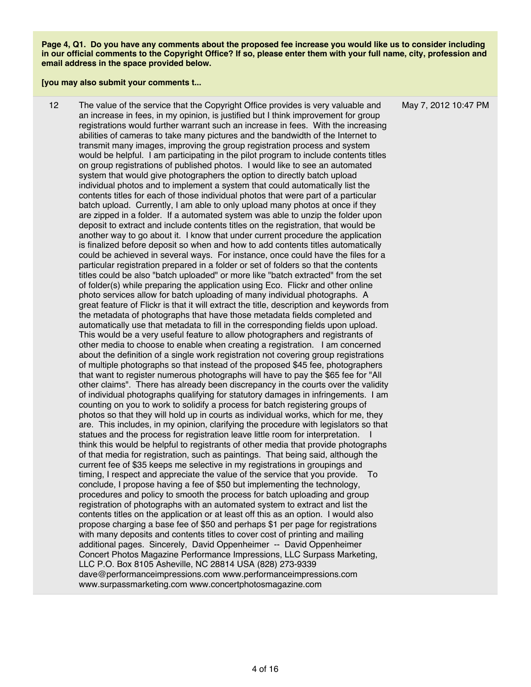**[you may also submit your comments t...**

12 The value of the service that the Copyright Office provides is very valuable and an increase in fees, in my opinion, is justified but I think improvement for group registrations would further warrant such an increase in fees. With the increasing abilities of cameras to take many pictures and the bandwidth of the Internet to transmit many images, improving the group registration process and system would be helpful. I am participating in the pilot program to include contents titles on group registrations of published photos. I would like to see an automated system that would give photographers the option to directly batch upload individual photos and to implement a system that could automatically list the contents titles for each of those individual photos that were part of a particular batch upload. Currently, I am able to only upload many photos at once if they are zipped in a folder. If a automated system was able to unzip the folder upon deposit to extract and include contents titles on the registration, that would be another way to go about it. I know that under current procedure the application is finalized before deposit so when and how to add contents titles automatically could be achieved in several ways. For instance, once could have the files for a particular registration prepared in a folder or set of folders so that the contents titles could be also "batch uploaded" or more like "batch extracted" from the set of folder(s) while preparing the application using Eco. Flickr and other online photo services allow for batch uploading of many individual photographs. A great feature of Flickr is that it will extract the title, description and keywords from the metadata of photographs that have those metadata fields completed and automatically use that metadata to fill in the corresponding fields upon upload. This would be a very useful feature to allow photographers and registrants of other media to choose to enable when creating a registration. I am concerned about the definition of a single work registration not covering group registrations of multiple photographs so that instead of the proposed \$45 fee, photographers that want to register numerous photographs will have to pay the \$65 fee for "All other claims". There has already been discrepancy in the courts over the validity of individual photographs qualifying for statutory damages in infringements. I am counting on you to work to solidify a process for batch registering groups of photos so that they will hold up in courts as individual works, which for me, they are. This includes, in my opinion, clarifying the procedure with legislators so that statues and the process for registration leave little room for interpretation. I think this would be helpful to registrants of other media that provide photographs of that media for registration, such as paintings. That being said, although the current fee of \$35 keeps me selective in my registrations in groupings and timing, I respect and appreciate the value of the service that you provide. To conclude, I propose having a fee of \$50 but implementing the technology, procedures and policy to smooth the process for batch uploading and group registration of photographs with an automated system to extract and list the contents titles on the application or at least off this as an option. I would also propose charging a base fee of \$50 and perhaps \$1 per page for registrations with many deposits and contents titles to cover cost of printing and mailing additional pages. Sincerely, David Oppenheimer -- David Oppenheimer Concert Photos Magazine Performance Impressions, LLC Surpass Marketing, LLC P.O. Box 8105 Asheville, NC 28814 USA (828) 273-9339 dave@performanceimpressions.com www.performanceimpressions.com www.surpassmarketing.com www.concertphotosmagazine.com

May 7, 2012 10:47 PM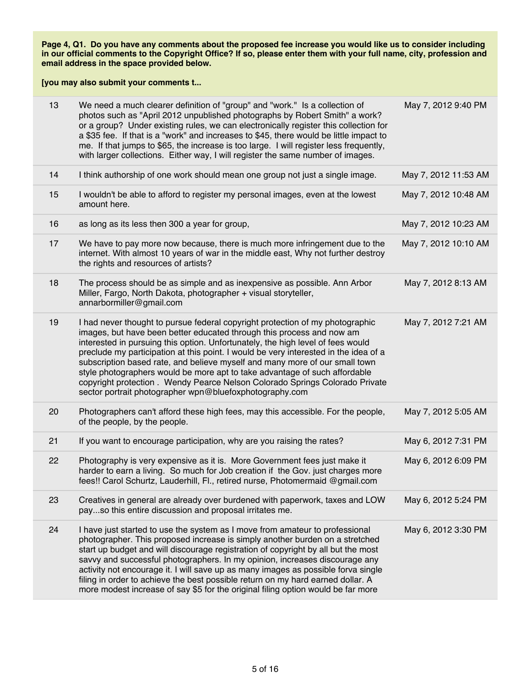| 13 | We need a much clearer definition of "group" and "work." Is a collection of<br>photos such as "April 2012 unpublished photographs by Robert Smith" a work?<br>or a group? Under existing rules, we can electronically register this collection for<br>a \$35 fee. If that is a "work" and increases to \$45, there would be little impact to<br>me. If that jumps to \$65, the increase is too large. I will register less frequently,<br>with larger collections. Either way, I will register the same number of images.                                                                                                                 | May 7, 2012 9:40 PM  |
|----|-------------------------------------------------------------------------------------------------------------------------------------------------------------------------------------------------------------------------------------------------------------------------------------------------------------------------------------------------------------------------------------------------------------------------------------------------------------------------------------------------------------------------------------------------------------------------------------------------------------------------------------------|----------------------|
| 14 | I think authorship of one work should mean one group not just a single image.                                                                                                                                                                                                                                                                                                                                                                                                                                                                                                                                                             | May 7, 2012 11:53 AM |
| 15 | I wouldn't be able to afford to register my personal images, even at the lowest<br>amount here.                                                                                                                                                                                                                                                                                                                                                                                                                                                                                                                                           | May 7, 2012 10:48 AM |
| 16 | as long as its less then 300 a year for group,                                                                                                                                                                                                                                                                                                                                                                                                                                                                                                                                                                                            | May 7, 2012 10:23 AM |
| 17 | We have to pay more now because, there is much more infringement due to the<br>internet. With almost 10 years of war in the middle east, Why not further destroy<br>the rights and resources of artists?                                                                                                                                                                                                                                                                                                                                                                                                                                  | May 7, 2012 10:10 AM |
| 18 | The process should be as simple and as inexpensive as possible. Ann Arbor<br>Miller, Fargo, North Dakota, photographer + visual storyteller,<br>annarbormiller@gmail.com                                                                                                                                                                                                                                                                                                                                                                                                                                                                  | May 7, 2012 8:13 AM  |
| 19 | I had never thought to pursue federal copyright protection of my photographic<br>images, but have been better educated through this process and now am<br>interested in pursuing this option. Unfortunately, the high level of fees would<br>preclude my participation at this point. I would be very interested in the idea of a<br>subscription based rate, and believe myself and many more of our small town<br>style photographers would be more apt to take advantage of such affordable<br>copyright protection . Wendy Pearce Nelson Colorado Springs Colorado Private<br>sector portrait photographer wpn@bluefoxphotography.com | May 7, 2012 7:21 AM  |
| 20 | Photographers can't afford these high fees, may this accessible. For the people,<br>of the people, by the people.                                                                                                                                                                                                                                                                                                                                                                                                                                                                                                                         | May 7, 2012 5:05 AM  |
| 21 | If you want to encourage participation, why are you raising the rates?                                                                                                                                                                                                                                                                                                                                                                                                                                                                                                                                                                    | May 6, 2012 7:31 PM  |
| 22 | Photography is very expensive as it is. More Government fees just make it<br>harder to earn a living. So much for Job creation if the Gov. just charges more<br>fees!! Carol Schurtz, Lauderhill, Fl., retired nurse, Photomermaid @gmail.com                                                                                                                                                                                                                                                                                                                                                                                             | May 6, 2012 6:09 PM  |
| 23 | Creatives in general are already over burdened with paperwork, taxes and LOW<br>payso this entire discussion and proposal irritates me.                                                                                                                                                                                                                                                                                                                                                                                                                                                                                                   | May 6, 2012 5:24 PM  |
| 24 | I have just started to use the system as I move from amateur to professional<br>photographer. This proposed increase is simply another burden on a stretched<br>start up budget and will discourage registration of copyright by all but the most<br>savvy and successful photographers. In my opinion, increases discourage any<br>activity not encourage it. I will save up as many images as possible forva single<br>filing in order to achieve the best possible return on my hard earned dollar. A<br>more modest increase of say \$5 for the original filing option would be far more                                              | May 6, 2012 3:30 PM  |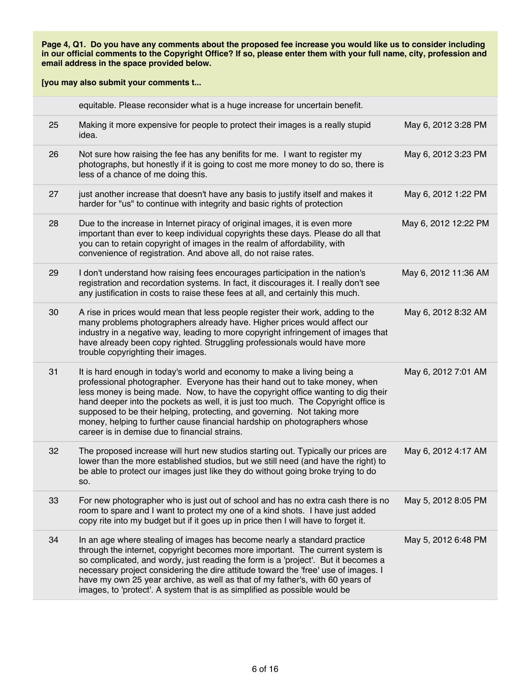|    | equitable. Please reconsider what is a huge increase for uncertain benefit.                                                                                                                                                                                                                                                                                                                                                                                                                                                               |                      |
|----|-------------------------------------------------------------------------------------------------------------------------------------------------------------------------------------------------------------------------------------------------------------------------------------------------------------------------------------------------------------------------------------------------------------------------------------------------------------------------------------------------------------------------------------------|----------------------|
| 25 | Making it more expensive for people to protect their images is a really stupid<br>idea.                                                                                                                                                                                                                                                                                                                                                                                                                                                   | May 6, 2012 3:28 PM  |
| 26 | Not sure how raising the fee has any benifits for me. I want to register my<br>photographs, but honestly if it is going to cost me more money to do so, there is<br>less of a chance of me doing this.                                                                                                                                                                                                                                                                                                                                    | May 6, 2012 3:23 PM  |
| 27 | just another increase that doesn't have any basis to justify itself and makes it<br>harder for "us" to continue with integrity and basic rights of protection                                                                                                                                                                                                                                                                                                                                                                             | May 6, 2012 1:22 PM  |
| 28 | Due to the increase in Internet piracy of original images, it is even more<br>important than ever to keep individual copyrights these days. Please do all that<br>you can to retain copyright of images in the realm of affordability, with<br>convenience of registration. And above all, do not raise rates.                                                                                                                                                                                                                            | May 6, 2012 12:22 PM |
| 29 | I don't understand how raising fees encourages participation in the nation's<br>registration and recordation systems. In fact, it discourages it. I really don't see<br>any justification in costs to raise these fees at all, and certainly this much.                                                                                                                                                                                                                                                                                   | May 6, 2012 11:36 AM |
| 30 | A rise in prices would mean that less people register their work, adding to the<br>many problems photographers already have. Higher prices would affect our<br>industry in a negative way, leading to more copyright infringement of images that<br>have already been copy righted. Struggling professionals would have more<br>trouble copyrighting their images.                                                                                                                                                                        | May 6, 2012 8:32 AM  |
| 31 | It is hard enough in today's world and economy to make a living being a<br>professional photographer. Everyone has their hand out to take money, when<br>less money is being made. Now, to have the copyright office wanting to dig their<br>hand deeper into the pockets as well, it is just too much. The Copyright office is<br>supposed to be their helping, protecting, and governing. Not taking more<br>money, helping to further cause financial hardship on photographers whose<br>career is in demise due to financial strains. | May 6, 2012 7:01 AM  |
| 32 | The proposed increase will hurt new studios starting out. Typically our prices are<br>lower than the more established studios, but we still need (and have the right) to<br>be able to protect our images just like they do without going broke trying to do<br>SO.                                                                                                                                                                                                                                                                       | May 6, 2012 4:17 AM  |
| 33 | For new photographer who is just out of school and has no extra cash there is no<br>room to spare and I want to protect my one of a kind shots. I have just added<br>copy rite into my budget but if it goes up in price then I will have to forget it.                                                                                                                                                                                                                                                                                   | May 5, 2012 8:05 PM  |
| 34 | In an age where stealing of images has become nearly a standard practice<br>through the internet, copyright becomes more important. The current system is<br>so complicated, and wordy, just reading the form is a 'project'. But it becomes a<br>necessary project considering the dire attitude toward the 'free' use of images. I<br>have my own 25 year archive, as well as that of my father's, with 60 years of<br>images, to 'protect'. A system that is as simplified as possible would be                                        | May 5, 2012 6:48 PM  |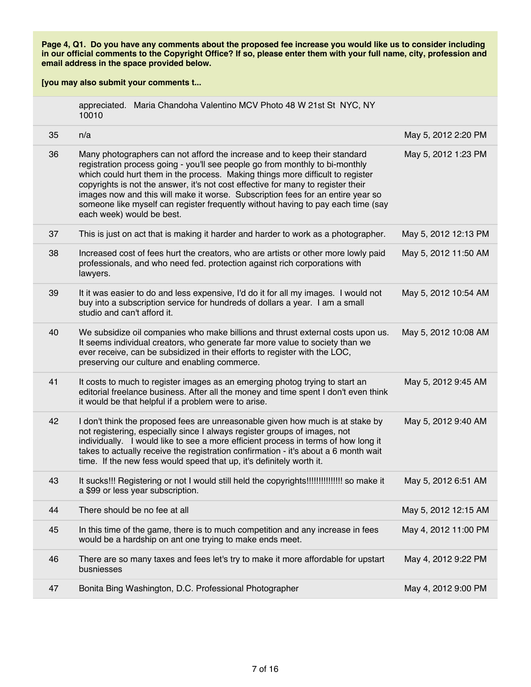|    | appreciated. Maria Chandoha Valentino MCV Photo 48 W 21st St NYC, NY<br>10010                                                                                                                                                                                                                                                                                                                                                                                                                                                       |                      |
|----|-------------------------------------------------------------------------------------------------------------------------------------------------------------------------------------------------------------------------------------------------------------------------------------------------------------------------------------------------------------------------------------------------------------------------------------------------------------------------------------------------------------------------------------|----------------------|
| 35 | n/a                                                                                                                                                                                                                                                                                                                                                                                                                                                                                                                                 | May 5, 2012 2:20 PM  |
| 36 | Many photographers can not afford the increase and to keep their standard<br>registration process going - you'll see people go from monthly to bi-monthly<br>which could hurt them in the process. Making things more difficult to register<br>copyrights is not the answer, it's not cost effective for many to register their<br>images now and this will make it worse. Subscription fees for an entire year so<br>someone like myself can register frequently without having to pay each time (say<br>each week) would be best. | May 5, 2012 1:23 PM  |
| 37 | This is just on act that is making it harder and harder to work as a photographer.                                                                                                                                                                                                                                                                                                                                                                                                                                                  | May 5, 2012 12:13 PM |
| 38 | Increased cost of fees hurt the creators, who are artists or other more lowly paid<br>professionals, and who need fed. protection against rich corporations with<br>lawyers.                                                                                                                                                                                                                                                                                                                                                        | May 5, 2012 11:50 AM |
| 39 | It it was easier to do and less expensive, I'd do it for all my images. I would not<br>buy into a subscription service for hundreds of dollars a year. I am a small<br>studio and can't afford it.                                                                                                                                                                                                                                                                                                                                  | May 5, 2012 10:54 AM |
| 40 | We subsidize oil companies who make billions and thrust external costs upon us.<br>It seems individual creators, who generate far more value to society than we<br>ever receive, can be subsidized in their efforts to register with the LOC,<br>preserving our culture and enabling commerce.                                                                                                                                                                                                                                      | May 5, 2012 10:08 AM |
| 41 | It costs to much to register images as an emerging photog trying to start an<br>editorial freelance business. After all the money and time spent I don't even think<br>it would be that helpful if a problem were to arise.                                                                                                                                                                                                                                                                                                         | May 5, 2012 9:45 AM  |
| 42 | I don't think the proposed fees are unreasonable given how much is at stake by<br>not registering, especially since I always register groups of images, not<br>individually. I would like to see a more efficient process in terms of how long it<br>takes to actually receive the registration confirmation - it's about a 6 month wait<br>time. If the new fess would speed that up, it's definitely worth it.                                                                                                                    | May 5, 2012 9:40 AM  |
| 43 | It sucks!!! Registering or not I would still held the copyrights!!!!!!!!!!!!!!!! so make it<br>a \$99 or less year subscription.                                                                                                                                                                                                                                                                                                                                                                                                    | May 5, 2012 6:51 AM  |
| 44 | There should be no fee at all                                                                                                                                                                                                                                                                                                                                                                                                                                                                                                       | May 5, 2012 12:15 AM |
| 45 | In this time of the game, there is to much competition and any increase in fees<br>would be a hardship on ant one trying to make ends meet.                                                                                                                                                                                                                                                                                                                                                                                         | May 4, 2012 11:00 PM |
| 46 | There are so many taxes and fees let's try to make it more affordable for upstart<br>busniesses                                                                                                                                                                                                                                                                                                                                                                                                                                     | May 4, 2012 9:22 PM  |
| 47 | Bonita Bing Washington, D.C. Professional Photographer                                                                                                                                                                                                                                                                                                                                                                                                                                                                              | May 4, 2012 9:00 PM  |
|    |                                                                                                                                                                                                                                                                                                                                                                                                                                                                                                                                     |                      |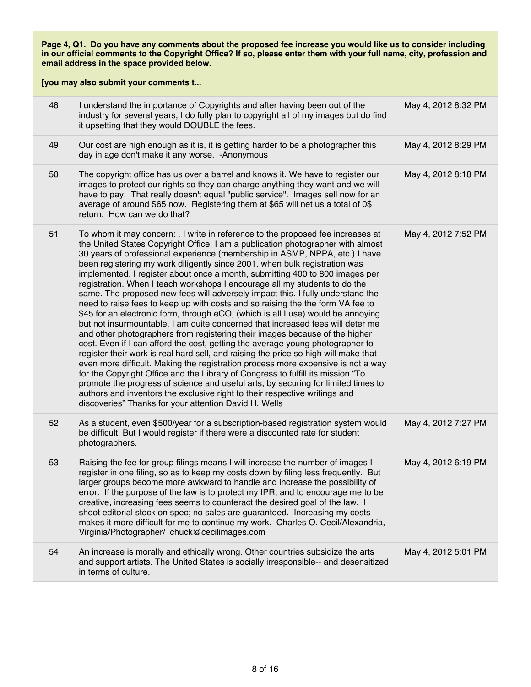| 48 | I understand the importance of Copyrights and after having been out of the<br>industry for several years, I do fully plan to copyright all of my images but do find<br>it upsetting that they would DOUBLE the fees.                                                                                                                                                                                                                                                                                                                                                                                                                                                                                                                                                                                                                                                                                                                                                                                                                                                                                                                                                                                                                                                                                                                                                                                                                                                                               | May 4, 2012 8:32 PM |
|----|----------------------------------------------------------------------------------------------------------------------------------------------------------------------------------------------------------------------------------------------------------------------------------------------------------------------------------------------------------------------------------------------------------------------------------------------------------------------------------------------------------------------------------------------------------------------------------------------------------------------------------------------------------------------------------------------------------------------------------------------------------------------------------------------------------------------------------------------------------------------------------------------------------------------------------------------------------------------------------------------------------------------------------------------------------------------------------------------------------------------------------------------------------------------------------------------------------------------------------------------------------------------------------------------------------------------------------------------------------------------------------------------------------------------------------------------------------------------------------------------------|---------------------|
| 49 | Our cost are high enough as it is, it is getting harder to be a photographer this<br>day in age don't make it any worse. - Anonymous                                                                                                                                                                                                                                                                                                                                                                                                                                                                                                                                                                                                                                                                                                                                                                                                                                                                                                                                                                                                                                                                                                                                                                                                                                                                                                                                                               | May 4, 2012 8:29 PM |
| 50 | The copyright office has us over a barrel and knows it. We have to register our<br>images to protect our rights so they can charge anything they want and we will<br>have to pay. That really doesn't equal "public service". Images sell now for an<br>average of around \$65 now. Registering them at \$65 will net us a total of 0\$<br>return. How can we do that?                                                                                                                                                                                                                                                                                                                                                                                                                                                                                                                                                                                                                                                                                                                                                                                                                                                                                                                                                                                                                                                                                                                             | May 4, 2012 8:18 PM |
| 51 | To whom it may concern: . I write in reference to the proposed fee increases at<br>the United States Copyright Office. I am a publication photographer with almost<br>30 years of professional experience (membership in ASMP, NPPA, etc.) I have<br>been registering my work diligently since 2001, when bulk registration was<br>implemented. I register about once a month, submitting 400 to 800 images per<br>registration. When I teach workshops I encourage all my students to do the<br>same. The proposed new fees will adversely impact this. I fully understand the<br>need to raise fees to keep up with costs and so raising the the form VA fee to<br>\$45 for an electronic form, through eCO, (which is all I use) would be annoying<br>but not insurmountable. I am quite concerned that increased fees will deter me<br>and other photographers from registering their images because of the higher<br>cost. Even if I can afford the cost, getting the average young photographer to<br>register their work is real hard sell, and raising the price so high will make that<br>even more difficult. Making the registration process more expensive is not a way<br>for the Copyright Office and the Library of Congress to fulfill its mission "To<br>promote the progress of science and useful arts, by securing for limited times to<br>authors and inventors the exclusive right to their respective writings and<br>discoveries" Thanks for your attention David H. Wells | May 4, 2012 7:52 PM |
| 52 | As a student, even \$500/year for a subscription-based registration system would<br>be difficult. But I would register if there were a discounted rate for student<br>photographers.                                                                                                                                                                                                                                                                                                                                                                                                                                                                                                                                                                                                                                                                                                                                                                                                                                                                                                                                                                                                                                                                                                                                                                                                                                                                                                               | May 4, 2012 7:27 PM |
| 53 | Raising the fee for group filings means I will increase the number of images I<br>register in one filing, so as to keep my costs down by filing less frequently. But<br>larger groups become more awkward to handle and increase the possibility of<br>error. If the purpose of the law is to protect my IPR, and to encourage me to be<br>creative, increasing fees seems to counteract the desired goal of the law. I<br>shoot editorial stock on spec; no sales are guaranteed. Increasing my costs<br>makes it more difficult for me to continue my work. Charles O. Cecil/Alexandria,<br>Virginia/Photographer/ chuck@cecilimages.com                                                                                                                                                                                                                                                                                                                                                                                                                                                                                                                                                                                                                                                                                                                                                                                                                                                         | May 4, 2012 6:19 PM |
| 54 | An increase is morally and ethically wrong. Other countries subsidize the arts<br>and support artists. The United States is socially irresponsible-- and desensitized<br>in terms of culture.                                                                                                                                                                                                                                                                                                                                                                                                                                                                                                                                                                                                                                                                                                                                                                                                                                                                                                                                                                                                                                                                                                                                                                                                                                                                                                      | May 4, 2012 5:01 PM |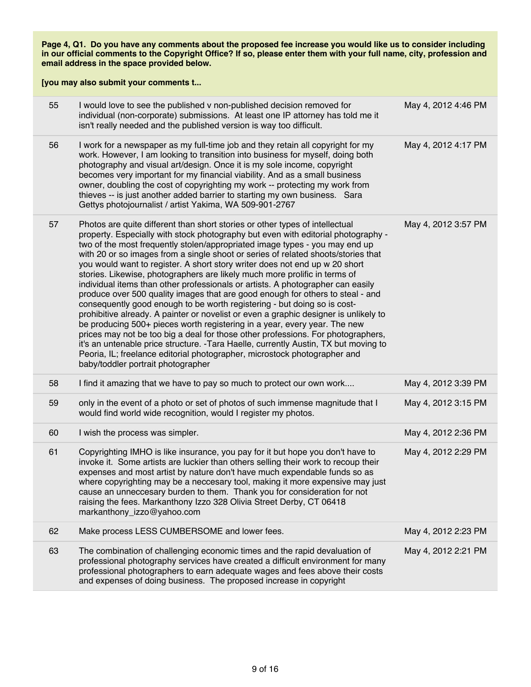| 55 | I would love to see the published v non-published decision removed for<br>individual (non-corporate) submissions. At least one IP attorney has told me it<br>isn't really needed and the published version is way too difficult.                                                                                                                                                                                                                                                                                                                                                                                                                                                                                                                                                                                                                                                                                                                                                                                                                                                                                                                                                                                       | May 4, 2012 4:46 PM |
|----|------------------------------------------------------------------------------------------------------------------------------------------------------------------------------------------------------------------------------------------------------------------------------------------------------------------------------------------------------------------------------------------------------------------------------------------------------------------------------------------------------------------------------------------------------------------------------------------------------------------------------------------------------------------------------------------------------------------------------------------------------------------------------------------------------------------------------------------------------------------------------------------------------------------------------------------------------------------------------------------------------------------------------------------------------------------------------------------------------------------------------------------------------------------------------------------------------------------------|---------------------|
| 56 | I work for a newspaper as my full-time job and they retain all copyright for my<br>work. However, I am looking to transition into business for myself, doing both<br>photography and visual art/design. Once it is my sole income, copyright<br>becomes very important for my financial viability. And as a small business<br>owner, doubling the cost of copyrighting my work -- protecting my work from<br>thieves -- is just another added barrier to starting my own business. Sara<br>Gettys photojournalist / artist Yakima, WA 509-901-2767                                                                                                                                                                                                                                                                                                                                                                                                                                                                                                                                                                                                                                                                     | May 4, 2012 4:17 PM |
| 57 | Photos are quite different than short stories or other types of intellectual<br>property. Especially with stock photography but even with editorial photography -<br>two of the most frequently stolen/appropriated image types - you may end up<br>with 20 or so images from a single shoot or series of related shoots/stories that<br>you would want to register. A short story writer does not end up w 20 short<br>stories. Likewise, photographers are likely much more prolific in terms of<br>individual items than other professionals or artists. A photographer can easily<br>produce over 500 quality images that are good enough for others to steal - and<br>consequently good enough to be worth registering - but doing so is cost-<br>prohibitive already. A painter or novelist or even a graphic designer is unlikely to<br>be producing 500+ pieces worth registering in a year, every year. The new<br>prices may not be too big a deal for those other professions. For photographers,<br>it's an untenable price structure. -Tara Haelle, currently Austin, TX but moving to<br>Peoria, IL; freelance editorial photographer, microstock photographer and<br>baby/toddler portrait photographer | May 4, 2012 3:57 PM |
| 58 | I find it amazing that we have to pay so much to protect our own work                                                                                                                                                                                                                                                                                                                                                                                                                                                                                                                                                                                                                                                                                                                                                                                                                                                                                                                                                                                                                                                                                                                                                  | May 4, 2012 3:39 PM |
| 59 | only in the event of a photo or set of photos of such immense magnitude that I<br>would find world wide recognition, would I register my photos.                                                                                                                                                                                                                                                                                                                                                                                                                                                                                                                                                                                                                                                                                                                                                                                                                                                                                                                                                                                                                                                                       | May 4, 2012 3:15 PM |
| 60 | I wish the process was simpler.                                                                                                                                                                                                                                                                                                                                                                                                                                                                                                                                                                                                                                                                                                                                                                                                                                                                                                                                                                                                                                                                                                                                                                                        | May 4, 2012 2:36 PM |
| 61 | Copyrighting IMHO is like insurance, you pay for it but hope you don't have to<br>invoke it. Some artists are luckier than others selling their work to recoup their<br>expenses and most artist by nature don't have much expendable funds so as<br>where copyrighting may be a neccesary tool, making it more expensive may just<br>cause an unneccesary burden to them. Thank you for consideration for not<br>raising the fees. Markanthony Izzo 328 Olivia Street Derby, CT 06418<br>markanthony_izzo@yahoo.com                                                                                                                                                                                                                                                                                                                                                                                                                                                                                                                                                                                                                                                                                                   | May 4, 2012 2:29 PM |
| 62 | Make process LESS CUMBERSOME and lower fees.                                                                                                                                                                                                                                                                                                                                                                                                                                                                                                                                                                                                                                                                                                                                                                                                                                                                                                                                                                                                                                                                                                                                                                           | May 4, 2012 2:23 PM |
| 63 | The combination of challenging economic times and the rapid devaluation of<br>professional photography services have created a difficult environment for many<br>professional photographers to earn adequate wages and fees above their costs<br>and expenses of doing business. The proposed increase in copyright                                                                                                                                                                                                                                                                                                                                                                                                                                                                                                                                                                                                                                                                                                                                                                                                                                                                                                    | May 4, 2012 2:21 PM |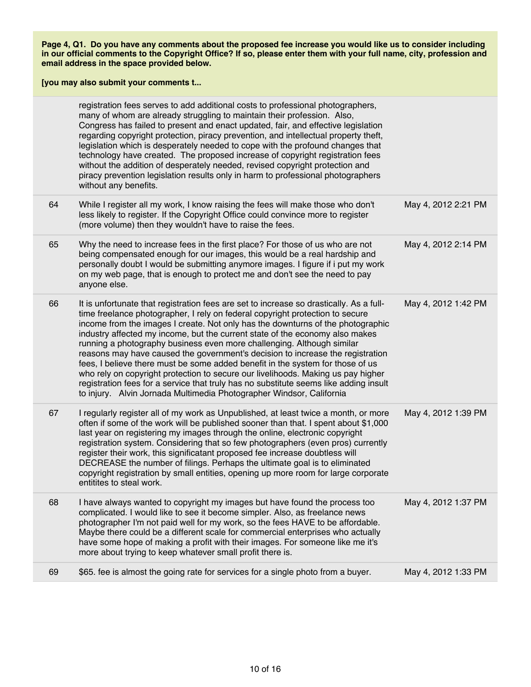| registration fees serves to add additional costs to professional photographers,<br>many of whom are already struggling to maintain their profession. Also,<br>Congress has failed to present and enact updated, fair, and effective legislation<br>regarding copyright protection, piracy prevention, and intellectual property theft,<br>legislation which is desperately needed to cope with the profound changes that<br>technology have created. The proposed increase of copyright registration fees<br>without the addition of desperately needed, revised copyright protection and<br>piracy prevention legislation results only in harm to professional photographers<br>without any benefits.<br>64<br>While I register all my work, I know raising the fees will make those who don't<br>May 4, 2012 2:21 PM<br>less likely to register. If the Copyright Office could convince more to register<br>(more volume) then they wouldn't have to raise the fees.<br>65<br>Why the need to increase fees in the first place? For those of us who are not<br>May 4, 2012 2:14 PM<br>being compensated enough for our images, this would be a real hardship and<br>personally doubt I would be submitting anymore images. I figure if i put my work<br>on my web page, that is enough to protect me and don't see the need to pay<br>anyone else.<br>66<br>It is unfortunate that registration fees are set to increase so drastically. As a full-<br>May 4, 2012 1:42 PM<br>time freelance photographer, I rely on federal copyright protection to secure<br>income from the images I create. Not only has the downturns of the photographic<br>industry affected my income, but the current state of the economy also makes<br>running a photography business even more challenging. Although similar<br>reasons may have caused the government's decision to increase the registration<br>fees, I believe there must be some added benefit in the system for those of us<br>who rely on copyright protection to secure our livelihoods. Making us pay higher<br>registration fees for a service that truly has no substitute seems like adding insult<br>to injury. Alvin Jornada Multimedia Photographer Windsor, California<br>67<br>I regularly register all of my work as Unpublished, at least twice a month, or more<br>May 4, 2012 1:39 PM<br>often if some of the work will be published sooner than that. I spent about \$1,000<br>last year on registering my images through the online, electronic copyright<br>registration system. Considering that so few photographers (even pros) currently<br>register their work, this significatant proposed fee increase doubtless will<br>DECREASE the number of filings. Perhaps the ultimate goal is to eliminated<br>copyright registration by small entities, opening up more room for large corporate<br>entitites to steal work.<br>68<br>May 4, 2012 1:37 PM<br>I have always wanted to copyright my images but have found the process too<br>complicated. I would like to see it become simpler. Also, as freelance news<br>photographer I'm not paid well for my work, so the fees HAVE to be affordable.<br>Maybe there could be a different scale for commercial enterprises who actually<br>have some hope of making a profit with their images. For someone like me it's<br>more about trying to keep whatever small profit there is.<br>69<br>\$65. fee is almost the going rate for services for a single photo from a buyer.<br>May 4, 2012 1:33 PM |  |  |
|--------------------------------------------------------------------------------------------------------------------------------------------------------------------------------------------------------------------------------------------------------------------------------------------------------------------------------------------------------------------------------------------------------------------------------------------------------------------------------------------------------------------------------------------------------------------------------------------------------------------------------------------------------------------------------------------------------------------------------------------------------------------------------------------------------------------------------------------------------------------------------------------------------------------------------------------------------------------------------------------------------------------------------------------------------------------------------------------------------------------------------------------------------------------------------------------------------------------------------------------------------------------------------------------------------------------------------------------------------------------------------------------------------------------------------------------------------------------------------------------------------------------------------------------------------------------------------------------------------------------------------------------------------------------------------------------------------------------------------------------------------------------------------------------------------------------------------------------------------------------------------------------------------------------------------------------------------------------------------------------------------------------------------------------------------------------------------------------------------------------------------------------------------------------------------------------------------------------------------------------------------------------------------------------------------------------------------------------------------------------------------------------------------------------------------------------------------------------------------------------------------------------------------------------------------------------------------------------------------------------------------------------------------------------------------------------------------------------------------------------------------------------------------------------------------------------------------------------------------------------------------------------------------------------------------------------------------------------------------------------------------------------------------------------------------------------------------------------------------------------------------------------------------------------------------------------------------------------------------------------------------------------------------------------------------------------------------------------------------------------------------------------------------------------------------------------------------------------------------------------------------------------------------|--|--|
|                                                                                                                                                                                                                                                                                                                                                                                                                                                                                                                                                                                                                                                                                                                                                                                                                                                                                                                                                                                                                                                                                                                                                                                                                                                                                                                                                                                                                                                                                                                                                                                                                                                                                                                                                                                                                                                                                                                                                                                                                                                                                                                                                                                                                                                                                                                                                                                                                                                                                                                                                                                                                                                                                                                                                                                                                                                                                                                                                                                                                                                                                                                                                                                                                                                                                                                                                                                                                                                                                                                                |  |  |
|                                                                                                                                                                                                                                                                                                                                                                                                                                                                                                                                                                                                                                                                                                                                                                                                                                                                                                                                                                                                                                                                                                                                                                                                                                                                                                                                                                                                                                                                                                                                                                                                                                                                                                                                                                                                                                                                                                                                                                                                                                                                                                                                                                                                                                                                                                                                                                                                                                                                                                                                                                                                                                                                                                                                                                                                                                                                                                                                                                                                                                                                                                                                                                                                                                                                                                                                                                                                                                                                                                                                |  |  |
|                                                                                                                                                                                                                                                                                                                                                                                                                                                                                                                                                                                                                                                                                                                                                                                                                                                                                                                                                                                                                                                                                                                                                                                                                                                                                                                                                                                                                                                                                                                                                                                                                                                                                                                                                                                                                                                                                                                                                                                                                                                                                                                                                                                                                                                                                                                                                                                                                                                                                                                                                                                                                                                                                                                                                                                                                                                                                                                                                                                                                                                                                                                                                                                                                                                                                                                                                                                                                                                                                                                                |  |  |
|                                                                                                                                                                                                                                                                                                                                                                                                                                                                                                                                                                                                                                                                                                                                                                                                                                                                                                                                                                                                                                                                                                                                                                                                                                                                                                                                                                                                                                                                                                                                                                                                                                                                                                                                                                                                                                                                                                                                                                                                                                                                                                                                                                                                                                                                                                                                                                                                                                                                                                                                                                                                                                                                                                                                                                                                                                                                                                                                                                                                                                                                                                                                                                                                                                                                                                                                                                                                                                                                                                                                |  |  |
|                                                                                                                                                                                                                                                                                                                                                                                                                                                                                                                                                                                                                                                                                                                                                                                                                                                                                                                                                                                                                                                                                                                                                                                                                                                                                                                                                                                                                                                                                                                                                                                                                                                                                                                                                                                                                                                                                                                                                                                                                                                                                                                                                                                                                                                                                                                                                                                                                                                                                                                                                                                                                                                                                                                                                                                                                                                                                                                                                                                                                                                                                                                                                                                                                                                                                                                                                                                                                                                                                                                                |  |  |
|                                                                                                                                                                                                                                                                                                                                                                                                                                                                                                                                                                                                                                                                                                                                                                                                                                                                                                                                                                                                                                                                                                                                                                                                                                                                                                                                                                                                                                                                                                                                                                                                                                                                                                                                                                                                                                                                                                                                                                                                                                                                                                                                                                                                                                                                                                                                                                                                                                                                                                                                                                                                                                                                                                                                                                                                                                                                                                                                                                                                                                                                                                                                                                                                                                                                                                                                                                                                                                                                                                                                |  |  |
|                                                                                                                                                                                                                                                                                                                                                                                                                                                                                                                                                                                                                                                                                                                                                                                                                                                                                                                                                                                                                                                                                                                                                                                                                                                                                                                                                                                                                                                                                                                                                                                                                                                                                                                                                                                                                                                                                                                                                                                                                                                                                                                                                                                                                                                                                                                                                                                                                                                                                                                                                                                                                                                                                                                                                                                                                                                                                                                                                                                                                                                                                                                                                                                                                                                                                                                                                                                                                                                                                                                                |  |  |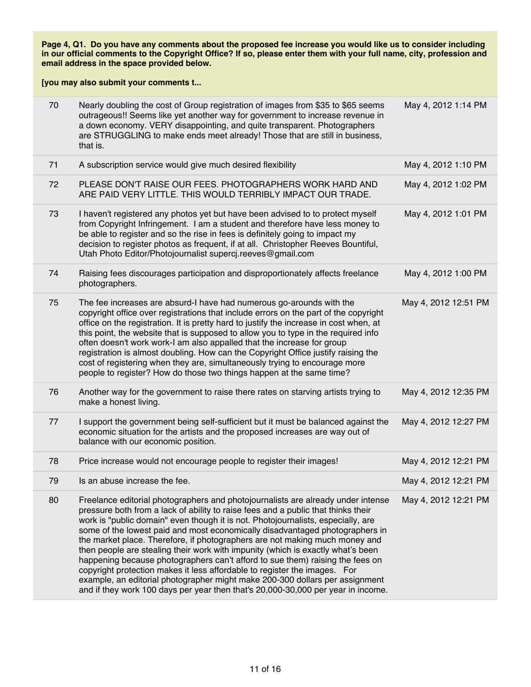| 70 | Nearly doubling the cost of Group registration of images from \$35 to \$65 seems<br>outrageous!! Seems like yet another way for government to increase revenue in<br>a down economy. VERY disappointing, and quite transparent. Photographers<br>are STRUGGLING to make ends meet already! Those that are still in business,<br>that is.                                                                                                                                                                                                                                                                                                                                                                                                                                                                                                      | May 4, 2012 1:14 PM  |
|----|-----------------------------------------------------------------------------------------------------------------------------------------------------------------------------------------------------------------------------------------------------------------------------------------------------------------------------------------------------------------------------------------------------------------------------------------------------------------------------------------------------------------------------------------------------------------------------------------------------------------------------------------------------------------------------------------------------------------------------------------------------------------------------------------------------------------------------------------------|----------------------|
| 71 | A subscription service would give much desired flexibility                                                                                                                                                                                                                                                                                                                                                                                                                                                                                                                                                                                                                                                                                                                                                                                    | May 4, 2012 1:10 PM  |
| 72 | PLEASE DON'T RAISE OUR FEES. PHOTOGRAPHERS WORK HARD AND<br>ARE PAID VERY LITTLE. THIS WOULD TERRIBLY IMPACT OUR TRADE.                                                                                                                                                                                                                                                                                                                                                                                                                                                                                                                                                                                                                                                                                                                       | May 4, 2012 1:02 PM  |
| 73 | I haven't registered any photos yet but have been advised to to protect myself<br>from Copyright Infringement. I am a student and therefore have less money to<br>be able to register and so the rise in fees is definitely going to impact my<br>decision to register photos as frequent, if at all. Christopher Reeves Bountiful,<br>Utah Photo Editor/Photojournalist supercj.reeves@gmail.com                                                                                                                                                                                                                                                                                                                                                                                                                                             | May 4, 2012 1:01 PM  |
| 74 | Raising fees discourages participation and disproportionately affects freelance<br>photographers.                                                                                                                                                                                                                                                                                                                                                                                                                                                                                                                                                                                                                                                                                                                                             | May 4, 2012 1:00 PM  |
| 75 | The fee increases are absurd-I have had numerous go-arounds with the<br>copyright office over registrations that include errors on the part of the copyright<br>office on the registration. It is pretty hard to justify the increase in cost when, at<br>this point, the website that is supposed to allow you to type in the required info<br>often doesn't work work-I am also appalled that the increase for group<br>registration is almost doubling. How can the Copyright Office justify raising the<br>cost of registering when they are, simultaneously trying to encourage more<br>people to register? How do those two things happen at the same time?                                                                                                                                                                             | May 4, 2012 12:51 PM |
| 76 | Another way for the government to raise there rates on starving artists trying to<br>make a honest living.                                                                                                                                                                                                                                                                                                                                                                                                                                                                                                                                                                                                                                                                                                                                    | May 4, 2012 12:35 PM |
| 77 | I support the government being self-sufficient but it must be balanced against the<br>economic situation for the artists and the proposed increases are way out of<br>balance with our economic position.                                                                                                                                                                                                                                                                                                                                                                                                                                                                                                                                                                                                                                     | May 4, 2012 12:27 PM |
| 78 | Price increase would not encourage people to register their images!                                                                                                                                                                                                                                                                                                                                                                                                                                                                                                                                                                                                                                                                                                                                                                           | May 4, 2012 12:21 PM |
| 79 | Is an abuse increase the fee.                                                                                                                                                                                                                                                                                                                                                                                                                                                                                                                                                                                                                                                                                                                                                                                                                 | May 4, 2012 12:21 PM |
| 80 | Freelance editorial photographers and photojournalists are already under intense<br>pressure both from a lack of ability to raise fees and a public that thinks their<br>work is "public domain" even though it is not. Photojournalists, especially, are<br>some of the lowest paid and most economically disadvantaged photographers in<br>the market place. Therefore, if photographers are not making much money and<br>then people are stealing their work with impunity (which is exactly what's been<br>happening because photographers can't afford to sue them) raising the fees on<br>copyright protection makes it less affordable to register the images. For<br>example, an editorial photographer might make 200-300 dollars per assignment<br>and if they work 100 days per year then that's 20,000-30,000 per year in income. | May 4, 2012 12:21 PM |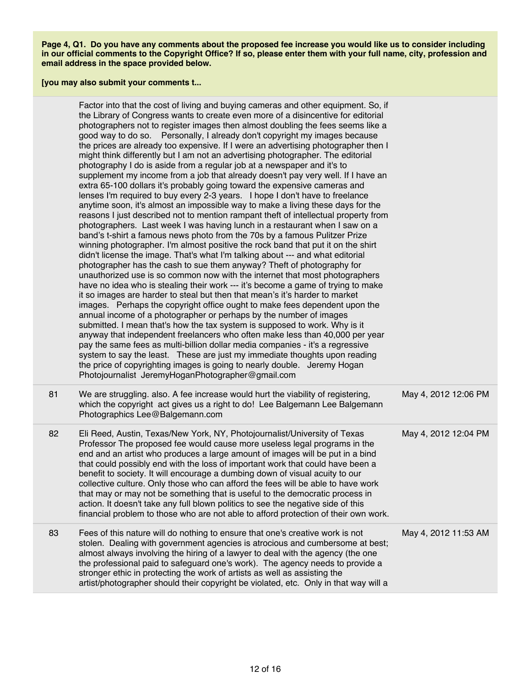|    | Factor into that the cost of living and buying cameras and other equipment. So, if<br>the Library of Congress wants to create even more of a disincentive for editorial<br>photographers not to register images then almost doubling the fees seems like a<br>good way to do so.  Personally, I already don't copyright my images because<br>the prices are already too expensive. If I were an advertising photographer then I<br>might think differently but I am not an advertising photographer. The editorial<br>photography I do is aside from a regular job at a newspaper and it's to<br>supplement my income from a job that already doesn't pay very well. If I have an<br>extra 65-100 dollars it's probably going toward the expensive cameras and<br>lenses I'm required to buy every 2-3 years.  I hope I don't have to freelance<br>anytime soon, it's almost an impossible way to make a living these days for the<br>reasons I just described not to mention rampant theft of intellectual property from<br>photographers. Last week I was having lunch in a restaurant when I saw on a<br>band's t-shirt a famous news photo from the 70s by a famous Pulitzer Prize<br>winning photographer. I'm almost positive the rock band that put it on the shirt<br>didn't license the image. That's what I'm talking about --- and what editorial<br>photographer has the cash to sue them anyway? Theft of photography for<br>unauthorized use is so common now with the internet that most photographers<br>have no idea who is stealing their work --- it's become a game of trying to make<br>it so images are harder to steal but then that mean's it's harder to market<br>images. Perhaps the copyright office ought to make fees dependent upon the<br>annual income of a photographer or perhaps by the number of images<br>submitted. I mean that's how the tax system is supposed to work. Why is it<br>anyway that independent freelancers who often make less than 40,000 per year<br>pay the same fees as multi-billion dollar media companies - it's a regressive<br>system to say the least. These are just my immediate thoughts upon reading<br>the price of copyrighting images is going to nearly double. Jeremy Hogan<br>Photojournalist JeremyHoganPhotographer@gmail.com |                      |
|----|------------------------------------------------------------------------------------------------------------------------------------------------------------------------------------------------------------------------------------------------------------------------------------------------------------------------------------------------------------------------------------------------------------------------------------------------------------------------------------------------------------------------------------------------------------------------------------------------------------------------------------------------------------------------------------------------------------------------------------------------------------------------------------------------------------------------------------------------------------------------------------------------------------------------------------------------------------------------------------------------------------------------------------------------------------------------------------------------------------------------------------------------------------------------------------------------------------------------------------------------------------------------------------------------------------------------------------------------------------------------------------------------------------------------------------------------------------------------------------------------------------------------------------------------------------------------------------------------------------------------------------------------------------------------------------------------------------------------------------------------------------------------------------------------------------------------------------------------------------------------------------------------------------------------------------------------------------------------------------------------------------------------------------------------------------------------------------------------------------------------------------------------------------------------------------------------------------------------------------------------------------------------------------------------------------|----------------------|
| 81 | We are struggling. also. A fee increase would hurt the viability of registering,<br>which the copyright act gives us a right to do! Lee Balgemann Lee Balgemann<br>Photographics Lee@Balgemann.com                                                                                                                                                                                                                                                                                                                                                                                                                                                                                                                                                                                                                                                                                                                                                                                                                                                                                                                                                                                                                                                                                                                                                                                                                                                                                                                                                                                                                                                                                                                                                                                                                                                                                                                                                                                                                                                                                                                                                                                                                                                                                                         | May 4, 2012 12:06 PM |
| 82 | Eli Reed, Austin, Texas/New York, NY, Photojournalist/University of Texas<br>Professor The proposed fee would cause more useless legal programs in the<br>end and an artist who produces a large amount of images will be put in a bind<br>that could possibly end with the loss of important work that could have been a<br>benefit to society. It will encourage a dumbing down of visual acuity to our<br>collective culture. Only those who can afford the fees will be able to have work<br>that may or may not be something that is useful to the democratic process in<br>action. It doesn't take any full blown politics to see the negative side of this<br>financial problem to those who are not able to afford protection of their own work.                                                                                                                                                                                                                                                                                                                                                                                                                                                                                                                                                                                                                                                                                                                                                                                                                                                                                                                                                                                                                                                                                                                                                                                                                                                                                                                                                                                                                                                                                                                                                   | May 4, 2012 12:04 PM |
| 83 | Fees of this nature will do nothing to ensure that one's creative work is not<br>stolen. Dealing with government agencies is atrocious and cumbersome at best;<br>almost always involving the hiring of a lawyer to deal with the agency (the one<br>the professional paid to safeguard one's work). The agency needs to provide a<br>stronger ethic in protecting the work of artists as well as assisting the<br>artist/photographer should their copyright be violated, etc. Only in that way will a                                                                                                                                                                                                                                                                                                                                                                                                                                                                                                                                                                                                                                                                                                                                                                                                                                                                                                                                                                                                                                                                                                                                                                                                                                                                                                                                                                                                                                                                                                                                                                                                                                                                                                                                                                                                    | May 4, 2012 11:53 AM |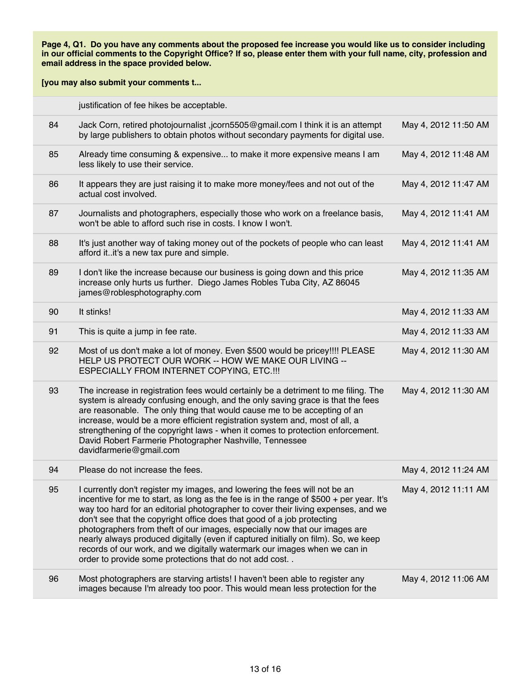|    | justification of fee hikes be acceptable.                                                                                                                                                                                                                                                                                                                                                                                                                                                                                                                                                                                                       |                      |
|----|-------------------------------------------------------------------------------------------------------------------------------------------------------------------------------------------------------------------------------------------------------------------------------------------------------------------------------------------------------------------------------------------------------------------------------------------------------------------------------------------------------------------------------------------------------------------------------------------------------------------------------------------------|----------------------|
| 84 | Jack Corn, retired photojournalist ,jcorn5505@gmail.com I think it is an attempt<br>by large publishers to obtain photos without secondary payments for digital use.                                                                                                                                                                                                                                                                                                                                                                                                                                                                            | May 4, 2012 11:50 AM |
| 85 | Already time consuming & expensive to make it more expensive means I am<br>less likely to use their service.                                                                                                                                                                                                                                                                                                                                                                                                                                                                                                                                    | May 4, 2012 11:48 AM |
| 86 | It appears they are just raising it to make more money/fees and not out of the<br>actual cost involved.                                                                                                                                                                                                                                                                                                                                                                                                                                                                                                                                         | May 4, 2012 11:47 AM |
| 87 | Journalists and photographers, especially those who work on a freelance basis,<br>won't be able to afford such rise in costs. I know I won't.                                                                                                                                                                                                                                                                                                                                                                                                                                                                                                   | May 4, 2012 11:41 AM |
| 88 | It's just another way of taking money out of the pockets of people who can least<br>afford it. it's a new tax pure and simple.                                                                                                                                                                                                                                                                                                                                                                                                                                                                                                                  | May 4, 2012 11:41 AM |
| 89 | I don't like the increase because our business is going down and this price<br>increase only hurts us further. Diego James Robles Tuba City, AZ 86045<br>james@roblesphotography.com                                                                                                                                                                                                                                                                                                                                                                                                                                                            | May 4, 2012 11:35 AM |
| 90 | It stinks!                                                                                                                                                                                                                                                                                                                                                                                                                                                                                                                                                                                                                                      | May 4, 2012 11:33 AM |
| 91 | This is quite a jump in fee rate.                                                                                                                                                                                                                                                                                                                                                                                                                                                                                                                                                                                                               | May 4, 2012 11:33 AM |
| 92 | Most of us don't make a lot of money. Even \$500 would be pricey!!!! PLEASE<br>HELP US PROTECT OUR WORK -- HOW WE MAKE OUR LIVING --<br>ESPECIALLY FROM INTERNET COPYING, ETC.!!!                                                                                                                                                                                                                                                                                                                                                                                                                                                               | May 4, 2012 11:30 AM |
| 93 | The increase in registration fees would certainly be a detriment to me filing. The<br>system is already confusing enough, and the only saving grace is that the fees<br>are reasonable. The only thing that would cause me to be accepting of an<br>increase, would be a more efficient registration system and, most of all, a<br>strengthening of the copyright laws - when it comes to protection enforcement.<br>David Robert Farmerie Photographer Nashville, Tennessee<br>davidfarmerie@gmail.com                                                                                                                                         | May 4, 2012 11:30 AM |
| 94 | Please do not increase the fees.                                                                                                                                                                                                                                                                                                                                                                                                                                                                                                                                                                                                                | May 4, 2012 11:24 AM |
| 95 | I currently don't register my images, and lowering the fees will not be an<br>incentive for me to start, as long as the fee is in the range of \$500 + per year. It's<br>way too hard for an editorial photographer to cover their living expenses, and we<br>don't see that the copyright office does that good of a job protecting<br>photographers from theft of our images, especially now that our images are<br>nearly always produced digitally (even if captured initially on film). So, we keep<br>records of our work, and we digitally watermark our images when we can in<br>order to provide some protections that do not add cost | May 4, 2012 11:11 AM |
| 96 | Most photographers are starving artists! I haven't been able to register any<br>images because I'm already too poor. This would mean less protection for the                                                                                                                                                                                                                                                                                                                                                                                                                                                                                    | May 4, 2012 11:06 AM |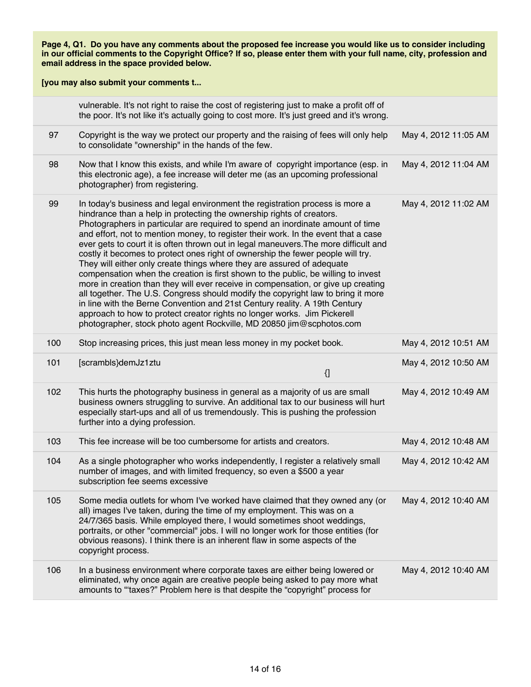|     | vulnerable. It's not right to raise the cost of registering just to make a profit off of<br>the poor. It's not like it's actually going to cost more. It's just greed and it's wrong.                                                                                                                                                                                                                                                                                                                                                                                                                                                                                                                                                                                                                                                                                                                                                                                                                                                                                              |                      |
|-----|------------------------------------------------------------------------------------------------------------------------------------------------------------------------------------------------------------------------------------------------------------------------------------------------------------------------------------------------------------------------------------------------------------------------------------------------------------------------------------------------------------------------------------------------------------------------------------------------------------------------------------------------------------------------------------------------------------------------------------------------------------------------------------------------------------------------------------------------------------------------------------------------------------------------------------------------------------------------------------------------------------------------------------------------------------------------------------|----------------------|
| 97  | Copyright is the way we protect our property and the raising of fees will only help<br>to consolidate "ownership" in the hands of the few.                                                                                                                                                                                                                                                                                                                                                                                                                                                                                                                                                                                                                                                                                                                                                                                                                                                                                                                                         | May 4, 2012 11:05 AM |
| 98  | Now that I know this exists, and while I'm aware of copyright importance (esp. in<br>this electronic age), a fee increase will deter me (as an upcoming professional<br>photographer) from registering.                                                                                                                                                                                                                                                                                                                                                                                                                                                                                                                                                                                                                                                                                                                                                                                                                                                                            | May 4, 2012 11:04 AM |
| 99  | In today's business and legal environment the registration process is more a<br>hindrance than a help in protecting the ownership rights of creators.<br>Photographers in particular are required to spend an inordinate amount of time<br>and effort, not to mention money, to register their work. In the event that a case<br>ever gets to court it is often thrown out in legal maneuvers. The more difficult and<br>costly it becomes to protect ones right of ownership the fewer people will try.<br>They will either only create things where they are assured of adequate<br>compensation when the creation is first shown to the public, be willing to invest<br>more in creation than they will ever receive in compensation, or give up creating<br>all together. The U.S. Congress should modify the copyright law to bring it more<br>in line with the Berne Convention and 21st Century reality. A 19th Century<br>approach to how to protect creator rights no longer works. Jim Pickerell<br>photographer, stock photo agent Rockville, MD 20850 jim@scphotos.com | May 4, 2012 11:02 AM |
| 100 | Stop increasing prices, this just mean less money in my pocket book.                                                                                                                                                                                                                                                                                                                                                                                                                                                                                                                                                                                                                                                                                                                                                                                                                                                                                                                                                                                                               | May 4, 2012 10:51 AM |
| 101 | [scrambls}demJz1ztu<br>$\left\{ \right\}$                                                                                                                                                                                                                                                                                                                                                                                                                                                                                                                                                                                                                                                                                                                                                                                                                                                                                                                                                                                                                                          | May 4, 2012 10:50 AM |
| 102 | This hurts the photography business in general as a majority of us are small<br>business owners struggling to survive. An additional tax to our business will hurt<br>especially start-ups and all of us tremendously. This is pushing the profession<br>further into a dying profession.                                                                                                                                                                                                                                                                                                                                                                                                                                                                                                                                                                                                                                                                                                                                                                                          | May 4, 2012 10:49 AM |
| 103 | This fee increase will be too cumbersome for artists and creators.                                                                                                                                                                                                                                                                                                                                                                                                                                                                                                                                                                                                                                                                                                                                                                                                                                                                                                                                                                                                                 | May 4, 2012 10:48 AM |
| 104 | As a single photographer who works independently, I register a relatively small<br>number of images, and with limited frequency, so even a \$500 a year<br>subscription fee seems excessive                                                                                                                                                                                                                                                                                                                                                                                                                                                                                                                                                                                                                                                                                                                                                                                                                                                                                        | May 4, 2012 10:42 AM |
| 105 | Some media outlets for whom I've worked have claimed that they owned any (or<br>all) images I've taken, during the time of my employment. This was on a<br>24/7/365 basis. While employed there, I would sometimes shoot weddings,<br>portraits, or other "commercial" jobs. I will no longer work for those entities (for<br>obvious reasons). I think there is an inherent flaw in some aspects of the<br>copyright process.                                                                                                                                                                                                                                                                                                                                                                                                                                                                                                                                                                                                                                                     | May 4, 2012 10:40 AM |
| 106 | In a business environment where corporate taxes are either being lowered or<br>eliminated, why once again are creative people being asked to pay more what<br>amounts to "taxes?" Problem here is that despite the "copyright" process for                                                                                                                                                                                                                                                                                                                                                                                                                                                                                                                                                                                                                                                                                                                                                                                                                                         | May 4, 2012 10:40 AM |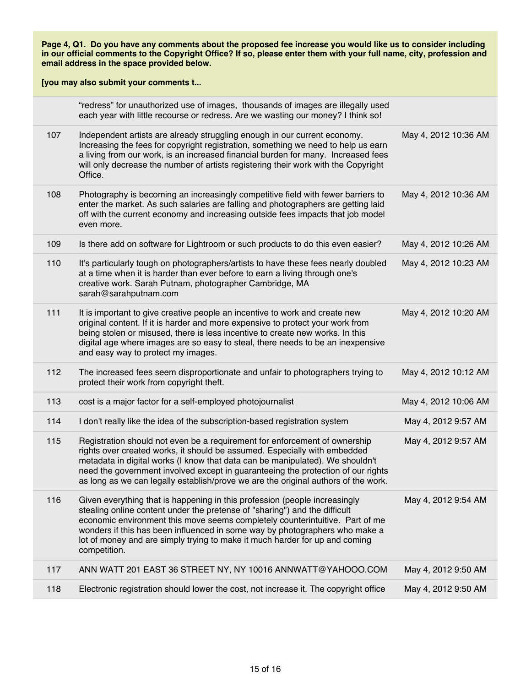|     | "redress" for unauthorized use of images, thousands of images are illegally used<br>each year with little recourse or redress. Are we wasting our money? I think so!                                                                                                                                                                                                                                                   |                      |
|-----|------------------------------------------------------------------------------------------------------------------------------------------------------------------------------------------------------------------------------------------------------------------------------------------------------------------------------------------------------------------------------------------------------------------------|----------------------|
| 107 | Independent artists are already struggling enough in our current economy.<br>Increasing the fees for copyright registration, something we need to help us earn<br>a living from our work, is an increased financial burden for many. Increased fees<br>will only decrease the number of artists registering their work with the Copyright<br>Office.                                                                   | May 4, 2012 10:36 AM |
| 108 | Photography is becoming an increasingly competitive field with fewer barriers to<br>enter the market. As such salaries are falling and photographers are getting laid<br>off with the current economy and increasing outside fees impacts that job model<br>even more.                                                                                                                                                 | May 4, 2012 10:36 AM |
| 109 | Is there add on software for Lightroom or such products to do this even easier?                                                                                                                                                                                                                                                                                                                                        | May 4, 2012 10:26 AM |
| 110 | It's particularly tough on photographers/artists to have these fees nearly doubled<br>at a time when it is harder than ever before to earn a living through one's<br>creative work. Sarah Putnam, photographer Cambridge, MA<br>sarah@sarahputnam.com                                                                                                                                                                  | May 4, 2012 10:23 AM |
| 111 | It is important to give creative people an incentive to work and create new<br>original content. If it is harder and more expensive to protect your work from<br>being stolen or misused, there is less incentive to create new works. In this<br>digital age where images are so easy to steal, there needs to be an inexpensive<br>and easy way to protect my images.                                                | May 4, 2012 10:20 AM |
| 112 | The increased fees seem disproportionate and unfair to photographers trying to<br>protect their work from copyright theft.                                                                                                                                                                                                                                                                                             | May 4, 2012 10:12 AM |
| 113 | cost is a major factor for a self-employed photojournalist                                                                                                                                                                                                                                                                                                                                                             | May 4, 2012 10:06 AM |
| 114 | I don't really like the idea of the subscription-based registration system                                                                                                                                                                                                                                                                                                                                             | May 4, 2012 9:57 AM  |
| 115 | Registration should not even be a requirement for enforcement of ownership<br>rights over created works, it should be assumed. Especially with embedded<br>metadata in digital works (I know that data can be manipulated). We shouldn't<br>need the government involved except in guaranteeing the protection of our rights<br>as long as we can legally establish/prove we are the original authors of the work.     | May 4, 2012 9:57 AM  |
| 116 | Given everything that is happening in this profession (people increasingly<br>stealing online content under the pretense of "sharing") and the difficult<br>economic environment this move seems completely counterintuitive. Part of me<br>wonders if this has been influenced in some way by photographers who make a<br>lot of money and are simply trying to make it much harder for up and coming<br>competition. | May 4, 2012 9:54 AM  |
| 117 | ANN WATT 201 EAST 36 STREET NY, NY 10016 ANNWATT@YAHOOO.COM                                                                                                                                                                                                                                                                                                                                                            | May 4, 2012 9:50 AM  |
| 118 | Electronic registration should lower the cost, not increase it. The copyright office                                                                                                                                                                                                                                                                                                                                   | May 4, 2012 9:50 AM  |